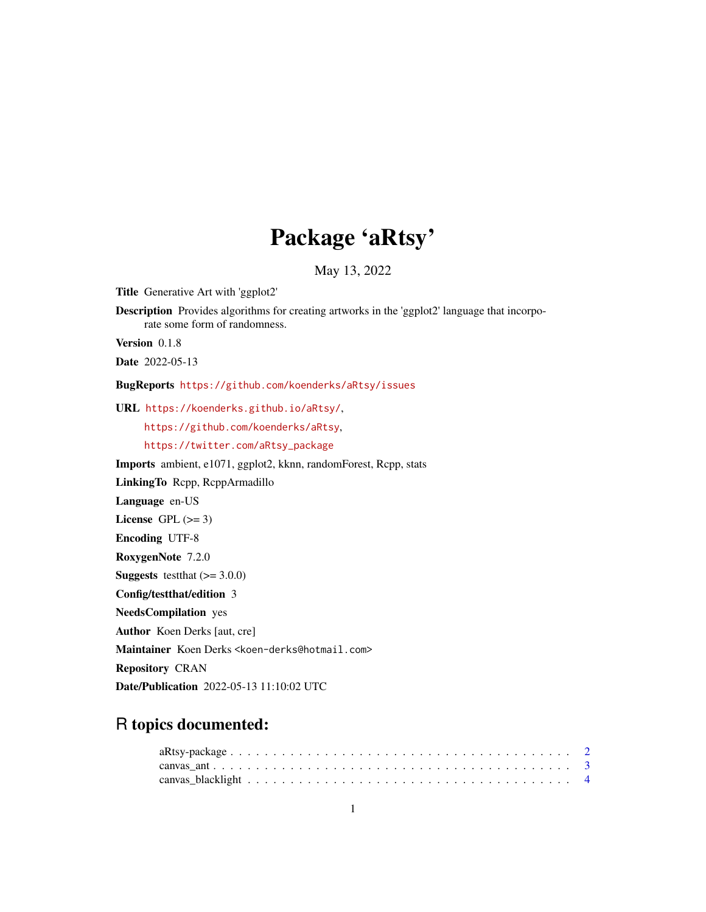# Package 'aRtsy'

May 13, 2022

Title Generative Art with 'ggplot2' Description Provides algorithms for creating artworks in the 'ggplot2' language that incorporate some form of randomness. Version 0.1.8 Date 2022-05-13 BugReports <https://github.com/koenderks/aRtsy/issues> URL <https://koenderks.github.io/aRtsy/>, <https://github.com/koenderks/aRtsy>, [https://twitter.com/aRtsy\\_package](https://twitter.com/aRtsy_package) Imports ambient, e1071, ggplot2, kknn, randomForest, Rcpp, stats LinkingTo Rcpp, RcppArmadillo

Language en-US

License GPL  $(>= 3)$ 

Encoding UTF-8

RoxygenNote 7.2.0

**Suggests** testthat  $(>= 3.0.0)$ 

Config/testthat/edition 3

NeedsCompilation yes

Author Koen Derks [aut, cre]

Maintainer Koen Derks <koen-derks@hotmail.com>

Repository CRAN

Date/Publication 2022-05-13 11:10:02 UTC

# R topics documented: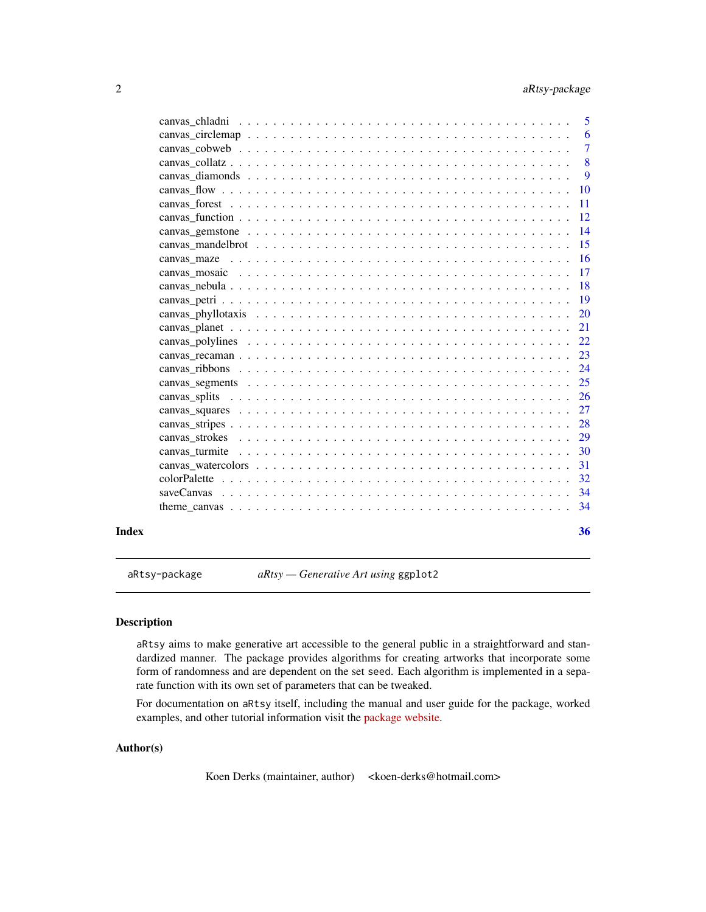<span id="page-1-0"></span>

|             | 6              |
|-------------|----------------|
|             | $\overline{7}$ |
|             | 8              |
|             | 9              |
| -10         |                |
| $-11$       |                |
|             |                |
| $\sqrt{14}$ |                |
| 15          |                |
|             |                |
|             |                |
| $-18$       |                |
| -19         |                |
| 20          |                |
| 21          |                |
| 22          |                |
| 23          |                |
| 24          |                |
| 25          |                |
|             |                |
|             |                |
| 28          |                |
| 30          |                |
|             |                |
|             |                |
|             |                |
|             |                |
|             |                |
|             |                |

aRtsy-package *aRtsy — Generative Art using* ggplot2

#### Description

aRtsy aims to make generative art accessible to the general public in a straightforward and standardized manner. The package provides algorithms for creating artworks that incorporate some form of randomness and are dependent on the set seed. Each algorithm is implemented in a separate function with its own set of parameters that can be tweaked.

For documentation on aRtsy itself, including the manual and user guide for the package, worked examples, and other tutorial information visit the [package website.](https://koenderks.github.io/aRtsy/)

# Author(s)

Koen Derks (maintainer, author) <koen-derks@hotmail.com>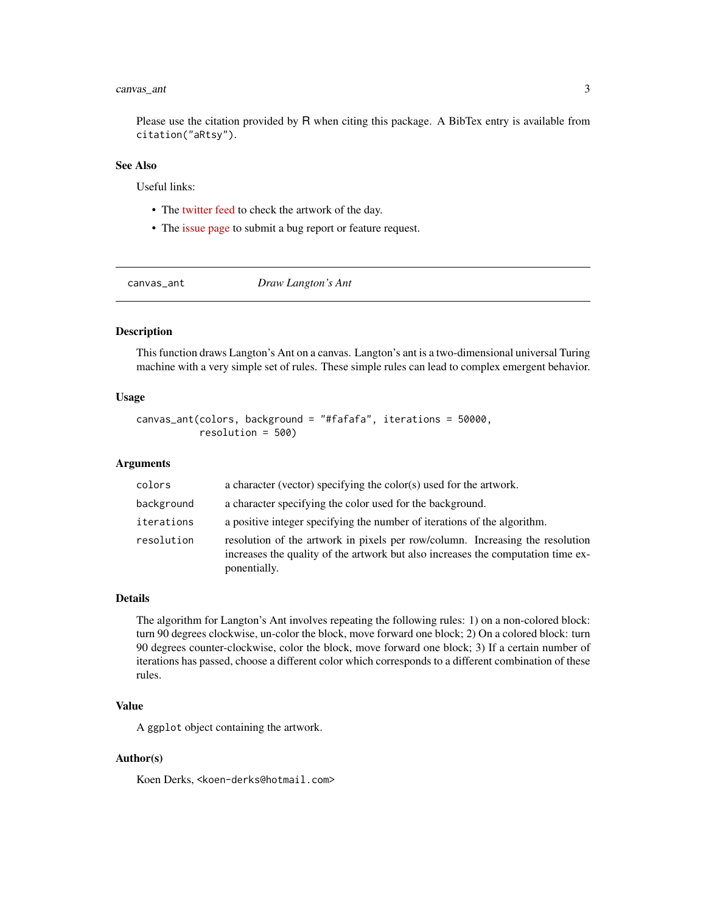# <span id="page-2-0"></span>canvas\_ant 3

Please use the citation provided by R when citing this package. A BibTex entry is available from citation("aRtsy").

#### See Also

Useful links:

- The [twitter feed](https://twitter.com/aRtsy_package) to check the artwork of the day.
- The [issue page](https://github.com/koenderks/aRtsy/issues) to submit a bug report or feature request.

canvas\_ant *Draw Langton's Ant*

#### Description

This function draws Langton's Ant on a canvas. Langton's ant is a two-dimensional universal Turing machine with a very simple set of rules. These simple rules can lead to complex emergent behavior.

#### Usage

```
canvas_ant(colors, background = "#fafafa", iterations = 50000,
           resolution = 500)
```
#### Arguments

| colors     | a character (vector) specifying the color(s) used for the artwork.                                                                                                                |
|------------|-----------------------------------------------------------------------------------------------------------------------------------------------------------------------------------|
| background | a character specifying the color used for the background.                                                                                                                         |
| iterations | a positive integer specifying the number of iterations of the algorithm.                                                                                                          |
| resolution | resolution of the artwork in pixels per row/column. Increasing the resolution<br>increases the quality of the artwork but also increases the computation time ex-<br>ponentially. |

#### Details

The algorithm for Langton's Ant involves repeating the following rules: 1) on a non-colored block: turn 90 degrees clockwise, un-color the block, move forward one block; 2) On a colored block: turn 90 degrees counter-clockwise, color the block, move forward one block; 3) If a certain number of iterations has passed, choose a different color which corresponds to a different combination of these rules.

# Value

A ggplot object containing the artwork.

#### Author(s)

Koen Derks, <koen-derks@hotmail.com>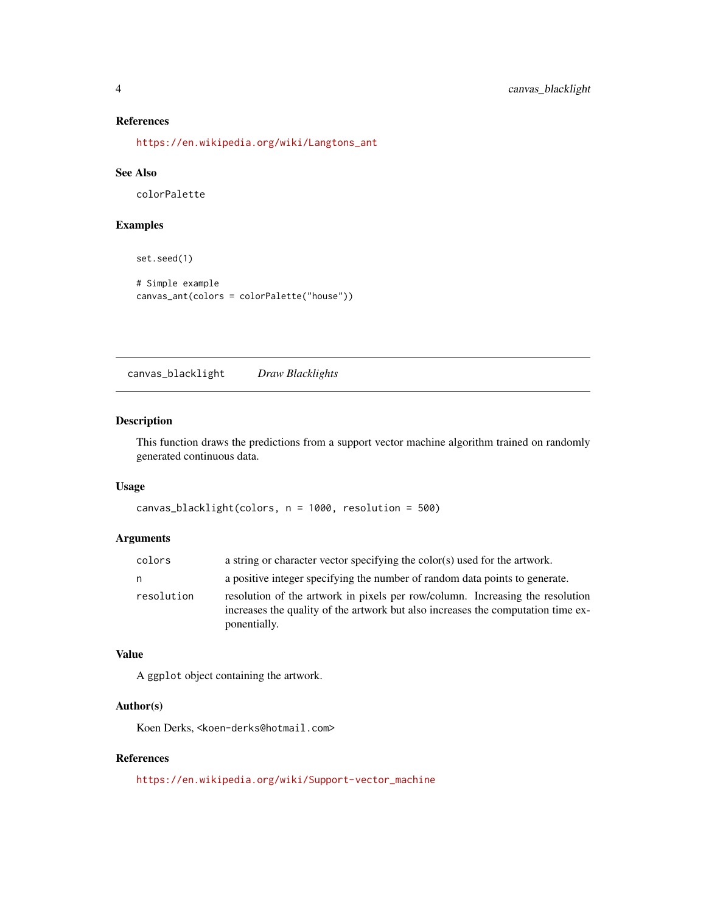#### References

[https://en.wikipedia.org/wiki/Langtons\\_ant](https://en.wikipedia.org/wiki/Langtons_ant)

#### See Also

colorPalette

#### Examples

```
set.seed(1)
```

```
# Simple example
canvas_ant(colors = colorPalette("house"))
```
canvas\_blacklight *Draw Blacklights*

#### Description

This function draws the predictions from a support vector machine algorithm trained on randomly generated continuous data.

# Usage

```
canvas_blacklight(colors, n = 1000, resolution = 500)
```
#### Arguments

| colors     | a string or character vector specifying the color(s) used for the artwork.                                                                                                        |
|------------|-----------------------------------------------------------------------------------------------------------------------------------------------------------------------------------|
| n          | a positive integer specifying the number of random data points to generate.                                                                                                       |
| resolution | resolution of the artwork in pixels per row/column. Increasing the resolution<br>increases the quality of the artwork but also increases the computation time ex-<br>ponentially. |

#### Value

A ggplot object containing the artwork.

#### Author(s)

Koen Derks, <koen-derks@hotmail.com>

#### References

[https://en.wikipedia.org/wiki/Support-vector\\_machine](https://en.wikipedia.org/wiki/Support-vector_machine)

<span id="page-3-0"></span>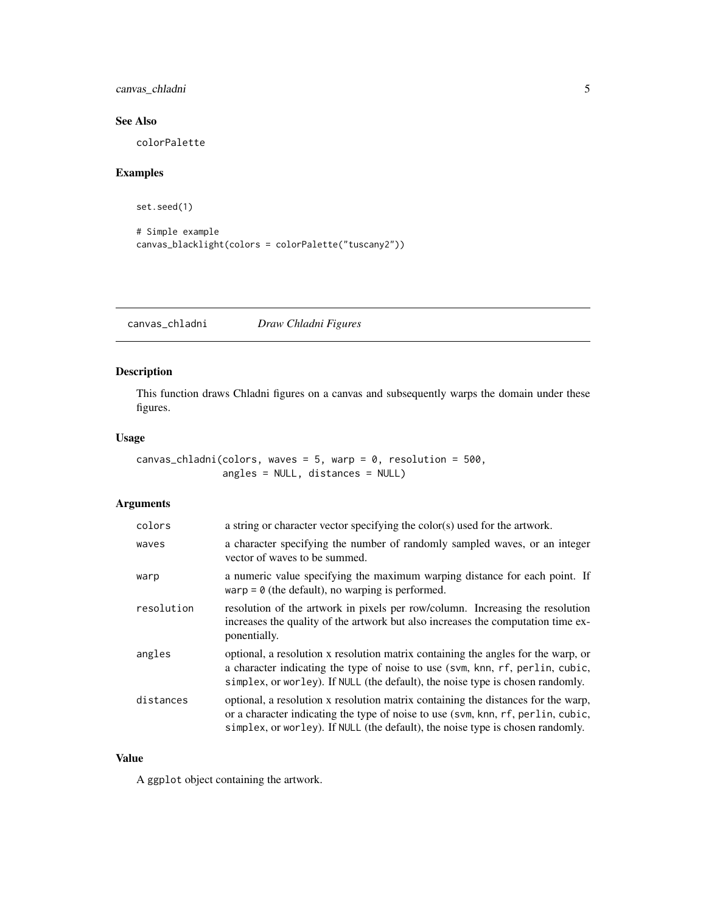<span id="page-4-0"></span>canvas\_chladni 5

# See Also

colorPalette

# Examples

set.seed(1)

```
# Simple example
canvas_blacklight(colors = colorPalette("tuscany2"))
```
canvas\_chladni *Draw Chladni Figures*

# Description

This function draws Chladni figures on a canvas and subsequently warps the domain under these figures.

#### Usage

canvas\_chladni(colors, waves =  $5$ , warp =  $0$ , resolution =  $500$ , angles = NULL, distances = NULL)

# Arguments

| colors     | a string or character vector specifying the color(s) used for the artwork.                                                                                                                                                                              |
|------------|---------------------------------------------------------------------------------------------------------------------------------------------------------------------------------------------------------------------------------------------------------|
| waves      | a character specifying the number of randomly sampled waves, or an integer<br>vector of waves to be summed.                                                                                                                                             |
| warp       | a numeric value specifying the maximum warping distance for each point. If<br>warp = $\theta$ (the default), no warping is performed.                                                                                                                   |
| resolution | resolution of the artwork in pixels per row/column. Increasing the resolution<br>increases the quality of the artwork but also increases the computation time ex-<br>ponentially.                                                                       |
| angles     | optional, a resolution x resolution matrix containing the angles for the warp, or<br>a character indicating the type of noise to use (svm, knn, rf, perlin, cubic,<br>simplex, or worley). If NULL (the default), the noise type is chosen randomly.    |
| distances  | optional, a resolution x resolution matrix containing the distances for the warp,<br>or a character indicating the type of noise to use (svm, knn, rf, perlin, cubic,<br>simplex, or worley). If NULL (the default), the noise type is chosen randomly. |

#### Value

A ggplot object containing the artwork.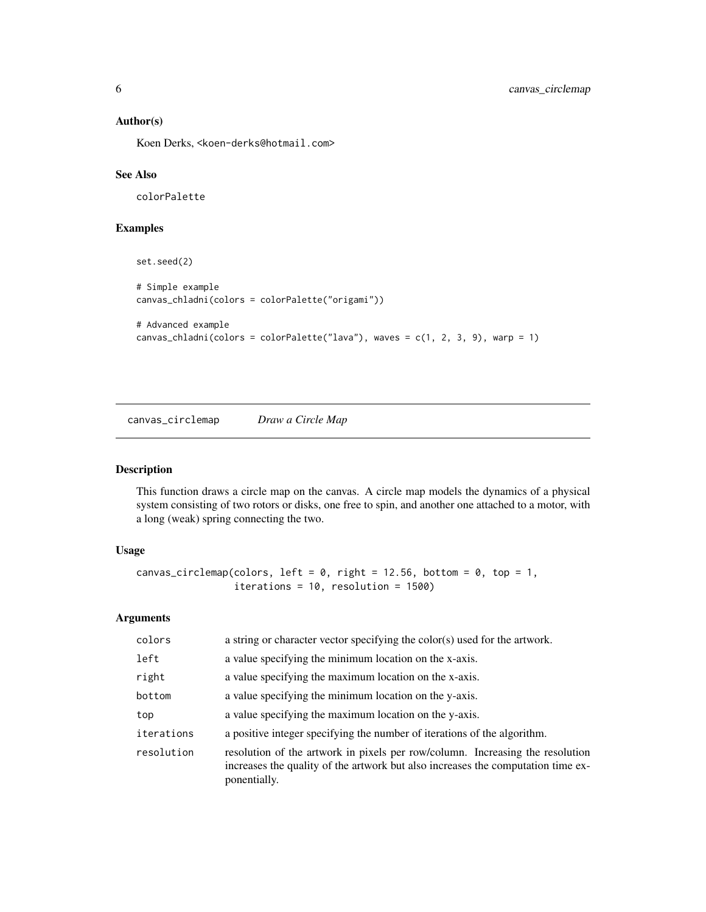#### <span id="page-5-0"></span>Author(s)

Koen Derks, <koen-derks@hotmail.com>

#### See Also

colorPalette

# Examples

```
set.seed(2)
# Simple example
canvas_chladni(colors = colorPalette("origami"))
# Advanced example
canvas_chladni(colors = colorPalette("lava"), waves = c(1, 2, 3, 9), warp = 1)
```
canvas\_circlemap *Draw a Circle Map*

#### Description

This function draws a circle map on the canvas. A circle map models the dynamics of a physical system consisting of two rotors or disks, one free to spin, and another one attached to a motor, with a long (weak) spring connecting the two.

#### Usage

```
canvas_circlemap(colors, left = 0, right = 12.56, bottom = 0, top = 1,
                 iterations = 10, resolution = 1500)
```
# Arguments

| colors     | a string or character vector specifying the color(s) used for the artwork.                                                                                                        |
|------------|-----------------------------------------------------------------------------------------------------------------------------------------------------------------------------------|
| left       | a value specifying the minimum location on the x-axis.                                                                                                                            |
| right      | a value specifying the maximum location on the x-axis.                                                                                                                            |
| bottom     | a value specifying the minimum location on the y-axis.                                                                                                                            |
| top        | a value specifying the maximum location on the y-axis.                                                                                                                            |
| iterations | a positive integer specifying the number of iterations of the algorithm.                                                                                                          |
| resolution | resolution of the artwork in pixels per row/column. Increasing the resolution<br>increases the quality of the artwork but also increases the computation time ex-<br>ponentially. |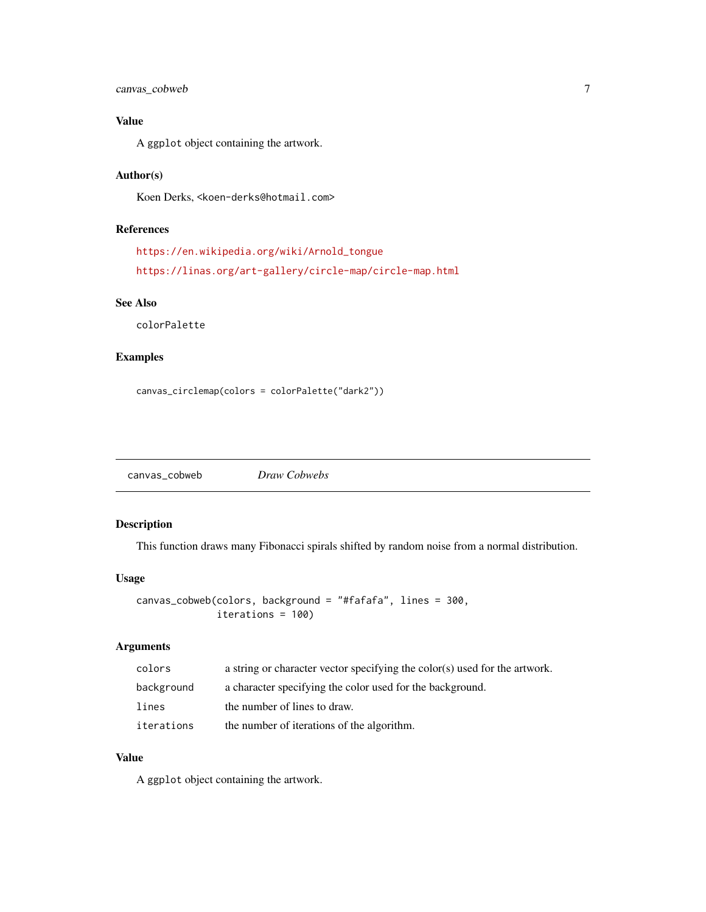<span id="page-6-0"></span>canvas\_cobweb 7

# Value

A ggplot object containing the artwork.

# Author(s)

Koen Derks, <koen-derks@hotmail.com>

# References

```
https://en.wikipedia.org/wiki/Arnold_tongue
https://linas.org/art-gallery/circle-map/circle-map.html
```
# See Also

colorPalette

#### Examples

```
canvas_circlemap(colors = colorPalette("dark2"))
```
canvas\_cobweb *Draw Cobwebs*

# Description

This function draws many Fibonacci spirals shifted by random noise from a normal distribution.

#### Usage

```
canvas_cobweb(colors, background = "#fafafa", lines = 300,
              iterations = 100)
```
# Arguments

| colors     | a string or character vector specifying the color(s) used for the artwork. |
|------------|----------------------------------------------------------------------------|
| background | a character specifying the color used for the background.                  |
| lines      | the number of lines to draw.                                               |
| iterations | the number of iterations of the algorithm.                                 |

#### Value

A ggplot object containing the artwork.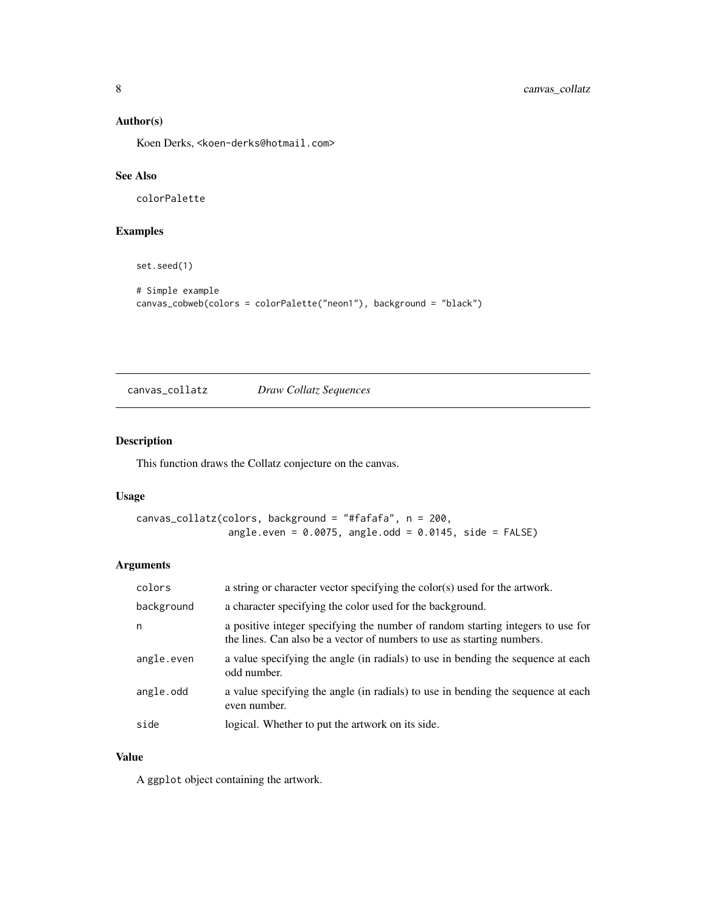#### <span id="page-7-0"></span>Author(s)

Koen Derks, <koen-derks@hotmail.com>

# See Also

colorPalette

# Examples

set.seed(1)

```
# Simple example
canvas_cobweb(colors = colorPalette("neon1"), background = "black")
```

| canvas_collatz | Draw Collatz Sequences |
|----------------|------------------------|
|----------------|------------------------|

# Description

This function draws the Collatz conjecture on the canvas.

#### Usage

```
canvas_collatz(colors, background = "#fafafa", n = 200,
                angle.even = 0.0075, angle.odd = 0.0145, side = FALSE)
```
# Arguments

| colors     | a string or character vector specifying the color(s) used for the artwork.                                                                                |
|------------|-----------------------------------------------------------------------------------------------------------------------------------------------------------|
| background | a character specifying the color used for the background.                                                                                                 |
| n          | a positive integer specifying the number of random starting integers to use for<br>the lines. Can also be a vector of numbers to use as starting numbers. |
| angle.even | a value specifying the angle (in radials) to use in bending the sequence at each<br>odd number.                                                           |
| angle.odd  | a value specifying the angle (in radials) to use in bending the sequence at each<br>even number.                                                          |
| side       | logical. Whether to put the artwork on its side.                                                                                                          |

#### Value

A ggplot object containing the artwork.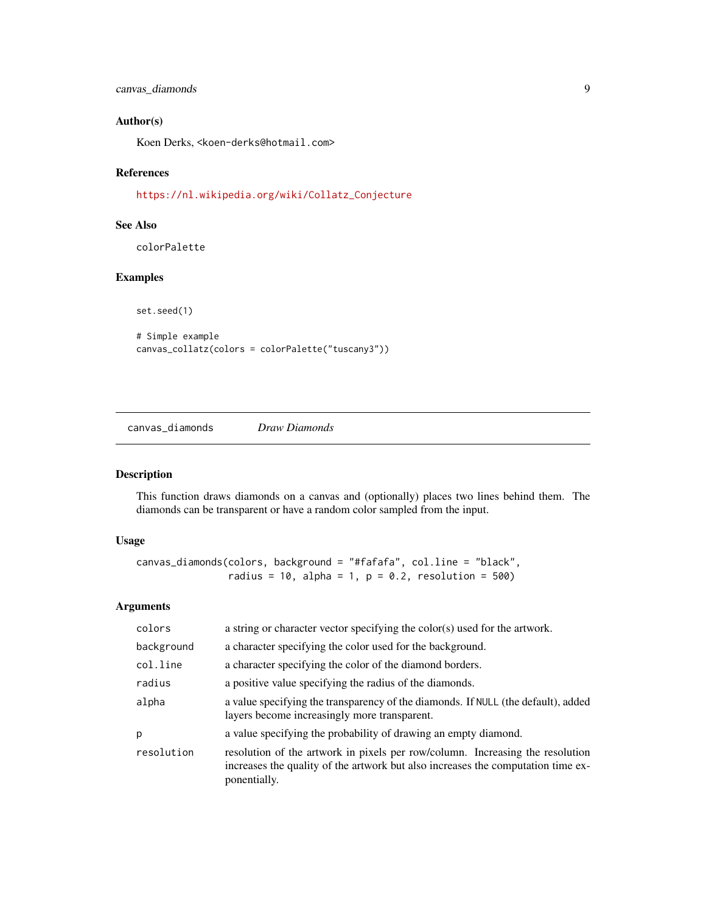<span id="page-8-0"></span>canvas\_diamonds 9

#### Author(s)

Koen Derks, <koen-derks@hotmail.com>

#### References

[https://nl.wikipedia.org/wiki/Collatz\\_Conjecture](https://nl.wikipedia.org/wiki/Collatz_Conjecture)

# See Also

colorPalette

# Examples

set.seed(1)

```
# Simple example
canvas_collatz(colors = colorPalette("tuscany3"))
```
canvas\_diamonds *Draw Diamonds*

# Description

This function draws diamonds on a canvas and (optionally) places two lines behind them. The diamonds can be transparent or have a random color sampled from the input.

#### Usage

```
canvas_diamonds(colors, background = "#fafafa", col.line = "black",
                radius = 10, alpha = 1, p = 0.2, resolution = 500)
```
#### Arguments

| colors     | a string or character vector specifying the color(s) used for the artwork.                                                                                                        |
|------------|-----------------------------------------------------------------------------------------------------------------------------------------------------------------------------------|
| background | a character specifying the color used for the background.                                                                                                                         |
| col.line   | a character specifying the color of the diamond borders.                                                                                                                          |
| radius     | a positive value specifying the radius of the diamonds.                                                                                                                           |
| alpha      | a value specifying the transparency of the diamonds. If NULL (the default), added<br>layers become increasingly more transparent.                                                 |
| p          | a value specifying the probability of drawing an empty diamond.                                                                                                                   |
| resolution | resolution of the artwork in pixels per row/column. Increasing the resolution<br>increases the quality of the artwork but also increases the computation time ex-<br>ponentially. |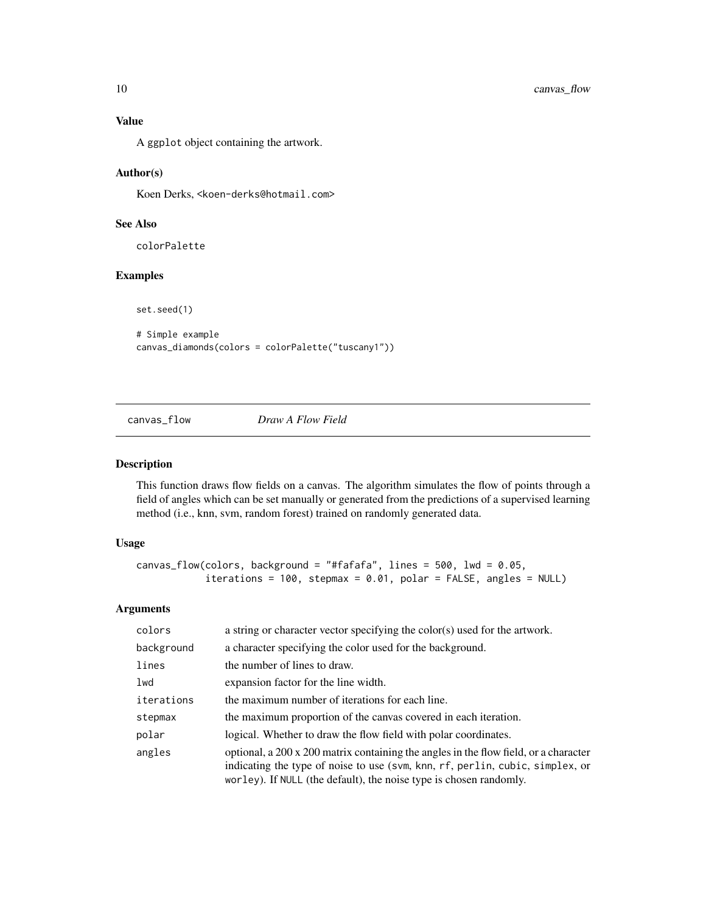<span id="page-9-0"></span>A ggplot object containing the artwork.

#### Author(s)

Koen Derks, <koen-derks@hotmail.com>

# See Also

colorPalette

#### Examples

set.seed(1)

# Simple example canvas\_diamonds(colors = colorPalette("tuscany1"))

```
canvas_flow Draw A Flow Field
```
#### Description

This function draws flow fields on a canvas. The algorithm simulates the flow of points through a field of angles which can be set manually or generated from the predictions of a supervised learning method (i.e., knn, svm, random forest) trained on randomly generated data.

# Usage

```
canvas_flow(colors, background = "#fafafa", lines = 500, lwd = 0.05,
            iterations = 100, stepmax = 0.01, polar = FALSE, angles =  NULL)
```
# Arguments

| colors     | a string or character vector specifying the color(s) used for the artwork.                                                                                                                                                                  |
|------------|---------------------------------------------------------------------------------------------------------------------------------------------------------------------------------------------------------------------------------------------|
| background | a character specifying the color used for the background.                                                                                                                                                                                   |
| lines      | the number of lines to draw.                                                                                                                                                                                                                |
| lwd        | expansion factor for the line width.                                                                                                                                                                                                        |
| iterations | the maximum number of iterations for each line.                                                                                                                                                                                             |
| stepmax    | the maximum proportion of the canvas covered in each iteration.                                                                                                                                                                             |
| polar      | logical. Whether to draw the flow field with polar coordinates.                                                                                                                                                                             |
| angles     | optional, a 200 x 200 matrix containing the angles in the flow field, or a character<br>indicating the type of noise to use (svm, knn, rf, perlin, cubic, simplex, or<br>worley). If NULL (the default), the noise type is chosen randomly. |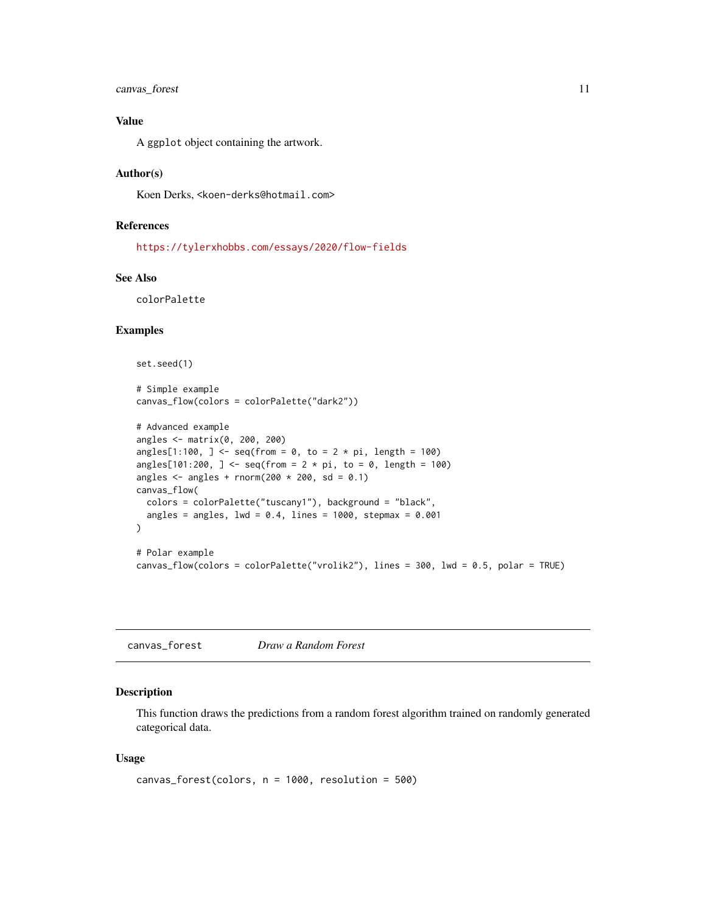# <span id="page-10-0"></span>canvas\_forest 11

#### Value

A ggplot object containing the artwork.

#### Author(s)

Koen Derks, <koen-derks@hotmail.com>

# References

<https://tylerxhobbs.com/essays/2020/flow-fields>

# See Also

colorPalette

#### Examples

```
set.seed(1)
# Simple example
canvas_flow(colors = colorPalette("dark2"))
# Advanced example
angles <- matrix(0, 200, 200)
angles[1:100, ] <- seq(from = 0, to = 2 * pi, length = 100)
angles[101:200, ] <- seq(from = 2 * pi, to = 0, length = 100)
angles \leq angles + rnorm(200 \star 200, sd = 0.1)
canvas_flow(
  colors = colorPalette("tuscany1"), background = "black",
  angles = angles, lwd = 0.4, lines = 1000, stepmax = 0.001\mathcal{L}# Polar example
canvas_flow(colors = colorPalette("vrolik2"), lines = 300, lwd = 0.5, polar = TRUE)
```
canvas\_forest *Draw a Random Forest*

#### Description

This function draws the predictions from a random forest algorithm trained on randomly generated categorical data.

#### Usage

```
canvas_forest(colors, n = 1000, resolution = 500)
```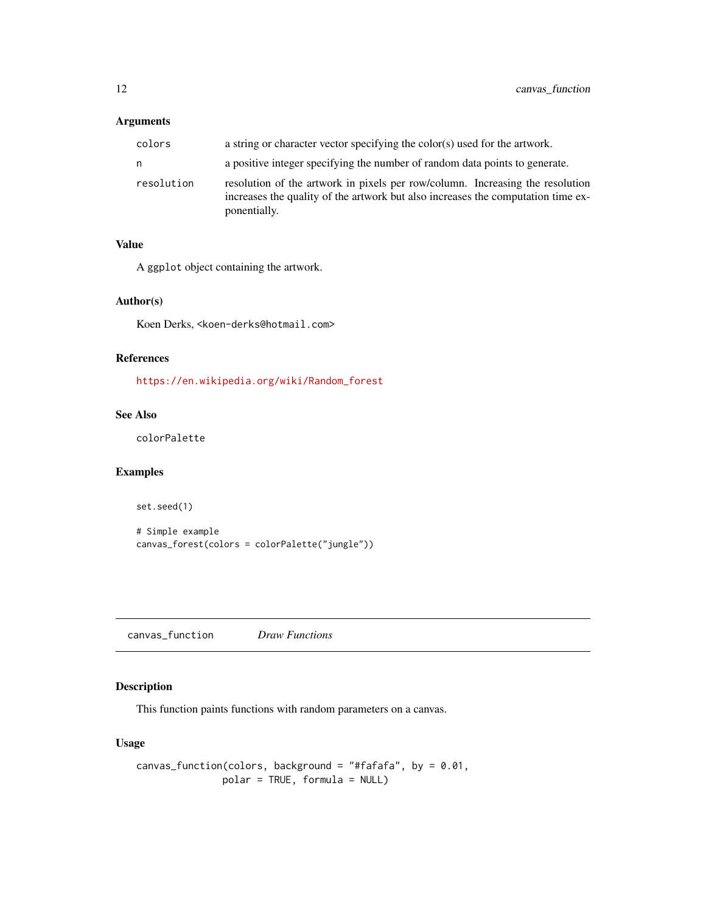#### <span id="page-11-0"></span>Arguments

| colors     | a string or character vector specifying the color(s) used for the artwork.                                                                                                        |
|------------|-----------------------------------------------------------------------------------------------------------------------------------------------------------------------------------|
| n          | a positive integer specifying the number of random data points to generate.                                                                                                       |
| resolution | resolution of the artwork in pixels per row/column. Increasing the resolution<br>increases the quality of the artwork but also increases the computation time ex-<br>ponentially. |

#### Value

A ggplot object containing the artwork.

# Author(s)

Koen Derks, <koen-derks@hotmail.com>

#### References

[https://en.wikipedia.org/wiki/Random\\_forest](https://en.wikipedia.org/wiki/Random_forest)

# See Also

colorPalette

# Examples

set.seed(1)

```
# Simple example
canvas_forest(colors = colorPalette("jungle"))
```
canvas\_function *Draw Functions*

# Description

This function paints functions with random parameters on a canvas.

#### Usage

```
canvas_function(colors, background = "#fafafa", by = 0.01,
              polar = TRUE, formula = NULL)
```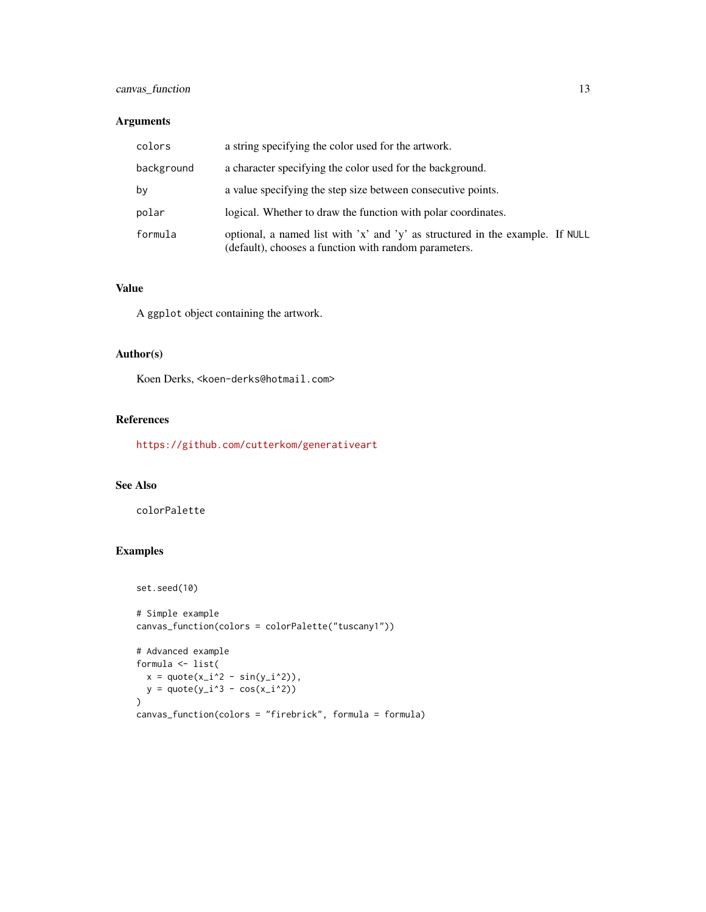# canvas\_function 13

#### Arguments

| colors     | a string specifying the color used for the artwork.                                                                                    |  |
|------------|----------------------------------------------------------------------------------------------------------------------------------------|--|
| background | a character specifying the color used for the background.                                                                              |  |
| by         | a value specifying the step size between consecutive points.                                                                           |  |
| polar      | logical. Whether to draw the function with polar coordinates.                                                                          |  |
| formula    | optional, a named list with 'x' and 'y' as structured in the example. If NULL<br>(default), chooses a function with random parameters. |  |

#### Value

A ggplot object containing the artwork.

# Author(s)

Koen Derks, <koen-derks@hotmail.com>

#### References

<https://github.com/cutterkom/generativeart>

#### See Also

colorPalette

# Examples

```
set.seed(10)
# Simple example
canvas_function(colors = colorPalette("tuscany1"))
# Advanced example
formula <- list(
  x = quote(x_i^2 - sin(y_i^2)),
 y = quote(y_i^3 - cos(x_i^2)))
canvas_function(colors = "firebrick", formula = formula)
```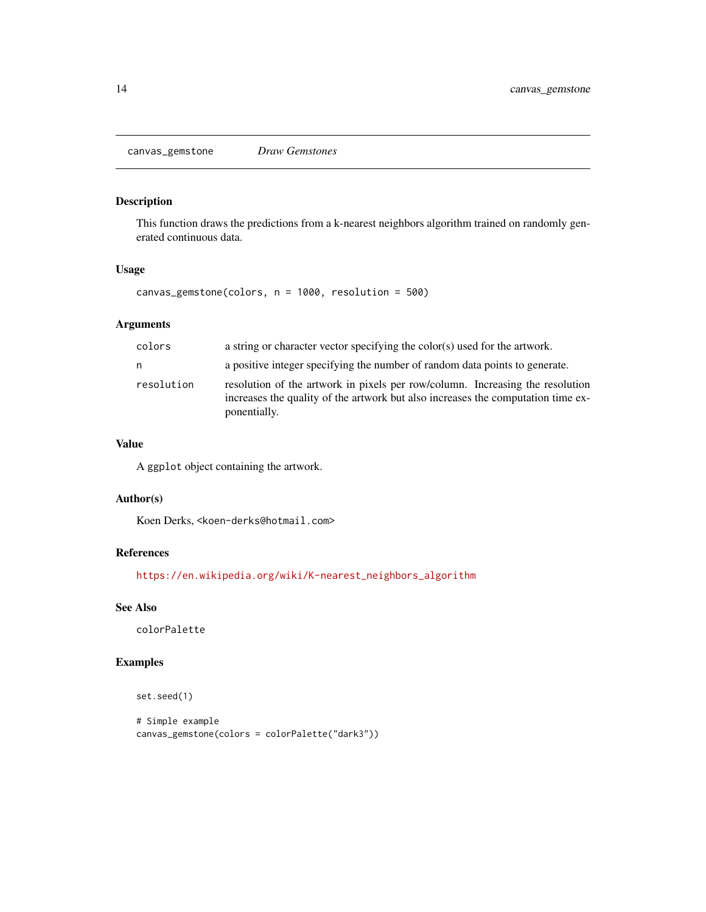<span id="page-13-0"></span>canvas\_gemstone *Draw Gemstones*

# Description

This function draws the predictions from a k-nearest neighbors algorithm trained on randomly generated continuous data.

#### Usage

canvas\_gemstone(colors, n = 1000, resolution = 500)

#### Arguments

| colors     | a string or character vector specifying the color(s) used for the artwork.                                                                                                        |  |  |
|------------|-----------------------------------------------------------------------------------------------------------------------------------------------------------------------------------|--|--|
| n          | a positive integer specifying the number of random data points to generate.                                                                                                       |  |  |
| resolution | resolution of the artwork in pixels per row/column. Increasing the resolution<br>increases the quality of the artwork but also increases the computation time ex-<br>ponentially. |  |  |

#### Value

A ggplot object containing the artwork.

#### Author(s)

Koen Derks, <koen-derks@hotmail.com>

#### References

[https://en.wikipedia.org/wiki/K-nearest\\_neighbors\\_algorithm](https://en.wikipedia.org/wiki/K-nearest_neighbors_algorithm)

# See Also

colorPalette

#### Examples

```
set.seed(1)
```

```
# Simple example
canvas_gemstone(colors = colorPalette("dark3"))
```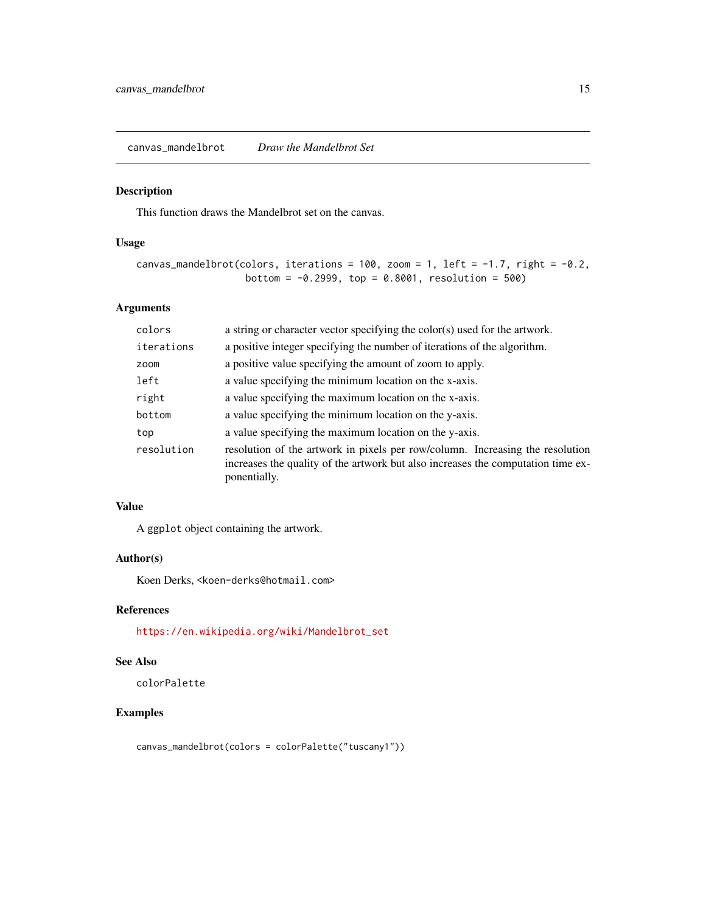<span id="page-14-0"></span>canvas\_mandelbrot *Draw the Mandelbrot Set*

#### Description

This function draws the Mandelbrot set on the canvas.

# Usage

```
canvas_mandelbrot(colors, iterations = 100, zoom = 1, left = -1.7, right = -0.2,
                   bottom = -0.2999, top = 0.8001, resolution = 500)
```
# Arguments

| colors     | a string or character vector specifying the color(s) used for the artwork.                                                                                                        |  |
|------------|-----------------------------------------------------------------------------------------------------------------------------------------------------------------------------------|--|
| iterations | a positive integer specifying the number of iterations of the algorithm.                                                                                                          |  |
| zoom       | a positive value specifying the amount of zoom to apply.                                                                                                                          |  |
| left       | a value specifying the minimum location on the x-axis.                                                                                                                            |  |
| right      | a value specifying the maximum location on the x-axis.                                                                                                                            |  |
| bottom     | a value specifying the minimum location on the y-axis.                                                                                                                            |  |
| top        | a value specifying the maximum location on the y-axis.                                                                                                                            |  |
| resolution | resolution of the artwork in pixels per row/column. Increasing the resolution<br>increases the quality of the artwork but also increases the computation time ex-<br>ponentially. |  |
|            |                                                                                                                                                                                   |  |

# Value

A ggplot object containing the artwork.

#### Author(s)

Koen Derks, <koen-derks@hotmail.com>

#### References

[https://en.wikipedia.org/wiki/Mandelbrot\\_set](https://en.wikipedia.org/wiki/Mandelbrot_set)

# See Also

colorPalette

# Examples

canvas\_mandelbrot(colors = colorPalette("tuscany1"))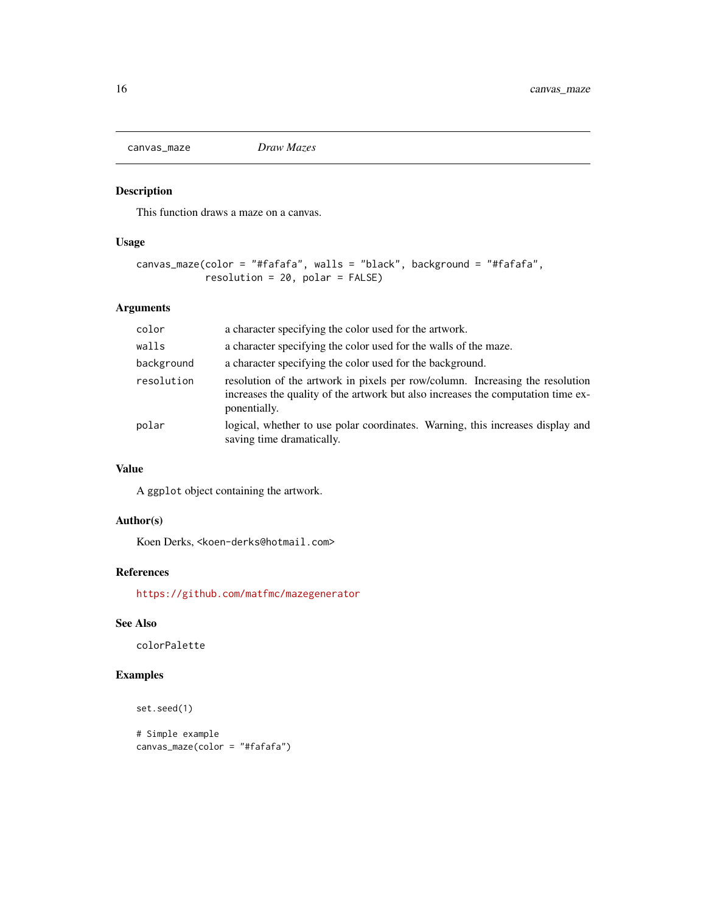<span id="page-15-0"></span>

# Description

This function draws a maze on a canvas.

# Usage

```
canvas_maze(color = "#fafafa", walls = "black", background = "#fafafa",
            resolution = 20, polar = FALSE)
```
# Arguments

| color      | a character specifying the color used for the artwork.                                                                                                                            |  |  |
|------------|-----------------------------------------------------------------------------------------------------------------------------------------------------------------------------------|--|--|
| walls      | a character specifying the color used for the walls of the maze.                                                                                                                  |  |  |
| background | a character specifying the color used for the background.                                                                                                                         |  |  |
| resolution | resolution of the artwork in pixels per row/column. Increasing the resolution<br>increases the quality of the artwork but also increases the computation time ex-<br>ponentially. |  |  |
| polar      | logical, whether to use polar coordinates. Warning, this increases display and<br>saving time dramatically.                                                                       |  |  |

# Value

A ggplot object containing the artwork.

# Author(s)

Koen Derks, <koen-derks@hotmail.com>

#### References

<https://github.com/matfmc/mazegenerator>

#### See Also

colorPalette

# Examples

```
set.seed(1)
```

```
# Simple example
canvas_maze(color = "#fafafa")
```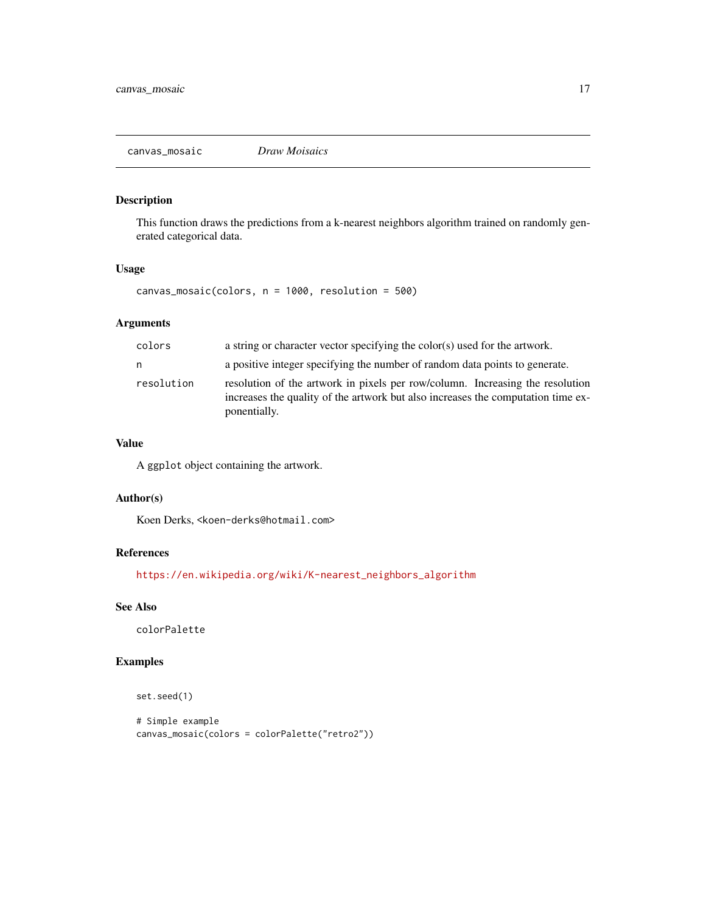<span id="page-16-0"></span>canvas\_mosaic *Draw Moisaics*

# Description

This function draws the predictions from a k-nearest neighbors algorithm trained on randomly generated categorical data.

#### Usage

canvas\_mosaic(colors, n = 1000, resolution = 500)

# Arguments

| colors     | a string or character vector specifying the color(s) used for the artwork.                                                                                                        |
|------------|-----------------------------------------------------------------------------------------------------------------------------------------------------------------------------------|
| n          | a positive integer specifying the number of random data points to generate.                                                                                                       |
| resolution | resolution of the artwork in pixels per row/column. Increasing the resolution<br>increases the quality of the artwork but also increases the computation time ex-<br>ponentially. |

#### Value

A ggplot object containing the artwork.

#### Author(s)

Koen Derks, <koen-derks@hotmail.com>

#### References

[https://en.wikipedia.org/wiki/K-nearest\\_neighbors\\_algorithm](https://en.wikipedia.org/wiki/K-nearest_neighbors_algorithm)

# See Also

colorPalette

#### Examples

```
set.seed(1)
```

```
# Simple example
canvas_mosaic(colors = colorPalette("retro2"))
```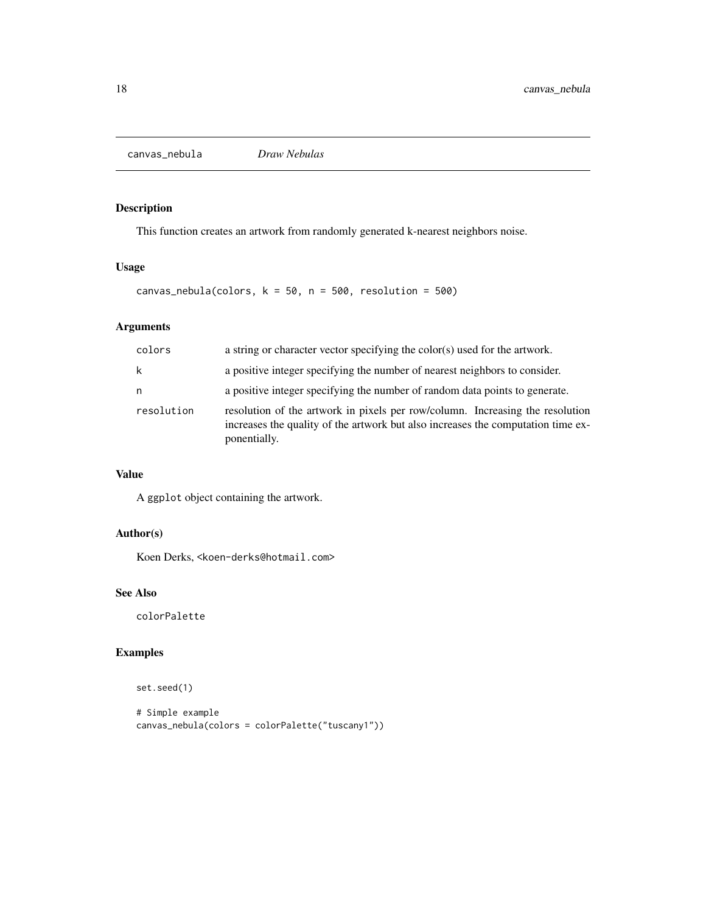<span id="page-17-0"></span>canvas\_nebula *Draw Nebulas*

# Description

This function creates an artwork from randomly generated k-nearest neighbors noise.

#### Usage

```
canvas_nebula(colors, k = 50, n = 500, resolution = 500)
```
# Arguments

| colors     | a string or character vector specifying the color(s) used for the artwork.                                                                                                        |  |  |
|------------|-----------------------------------------------------------------------------------------------------------------------------------------------------------------------------------|--|--|
| k          | a positive integer specifying the number of nearest neighbors to consider.                                                                                                        |  |  |
| n          | a positive integer specifying the number of random data points to generate.                                                                                                       |  |  |
| resolution | resolution of the artwork in pixels per row/column. Increasing the resolution<br>increases the quality of the artwork but also increases the computation time ex-<br>ponentially. |  |  |

# Value

A ggplot object containing the artwork.

# Author(s)

Koen Derks, <koen-derks@hotmail.com>

# See Also

colorPalette

# Examples

set.seed(1)

```
# Simple example
canvas_nebula(colors = colorPalette("tuscany1"))
```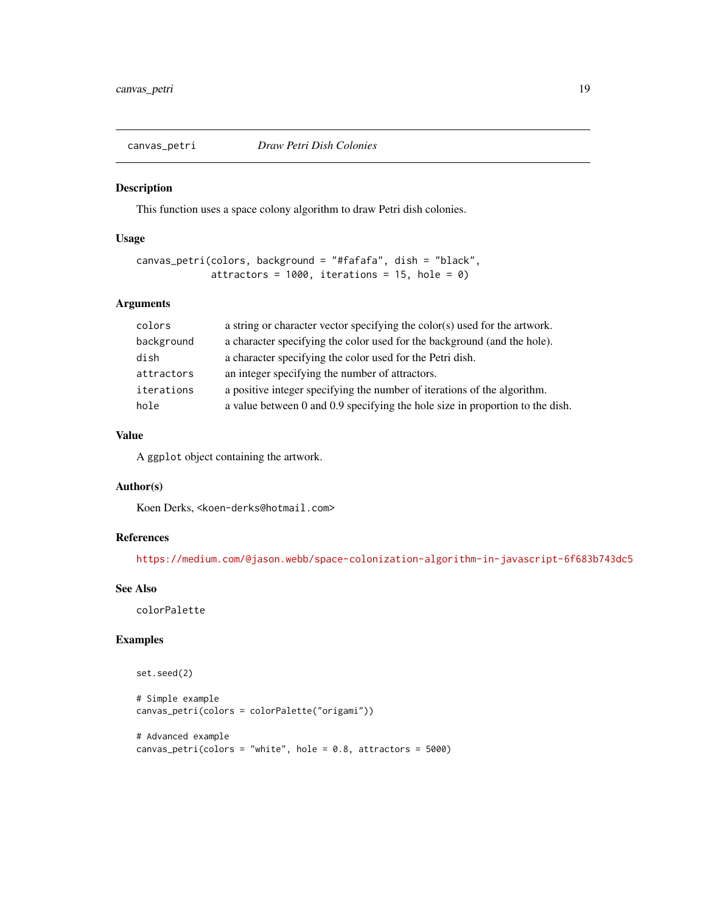<span id="page-18-0"></span>

#### Description

This function uses a space colony algorithm to draw Petri dish colonies.

#### Usage

```
canvas_petri(colors, background = "#fafafa", dish = "black",
             attractors = 1000, iterations = 15, hole = 0)
```
# Arguments

| colors     | a string or character vector specifying the color(s) used for the artwork.    |
|------------|-------------------------------------------------------------------------------|
| background | a character specifying the color used for the background (and the hole).      |
| dish       | a character specifying the color used for the Petri dish.                     |
| attractors | an integer specifying the number of attractors.                               |
| iterations | a positive integer specifying the number of iterations of the algorithm.      |
| hole       | a value between 0 and 0.9 specifying the hole size in proportion to the dish. |

# Value

A ggplot object containing the artwork.

# Author(s)

Koen Derks, <koen-derks@hotmail.com>

# References

<https://medium.com/@jason.webb/space-colonization-algorithm-in-javascript-6f683b743dc5>

# See Also

colorPalette

# Examples

```
set.seed(2)
```

```
# Simple example
canvas_petri(colors = colorPalette("origami"))
```

```
# Advanced example
canvas_petri(colors = "white", hole = 0.8, attractors = 5000)
```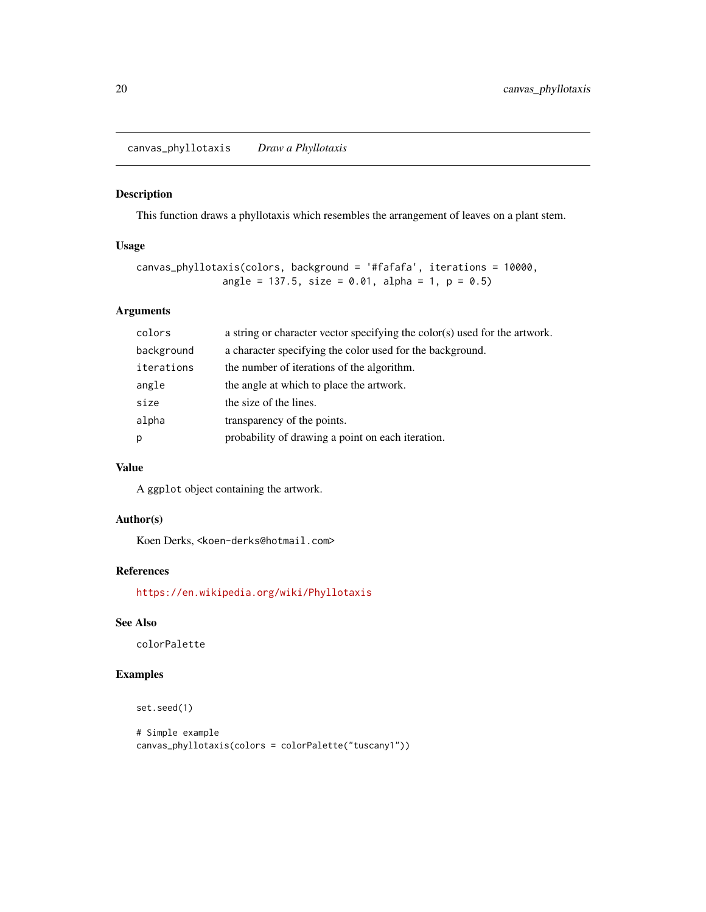<span id="page-19-0"></span>canvas\_phyllotaxis *Draw a Phyllotaxis*

#### Description

This function draws a phyllotaxis which resembles the arrangement of leaves on a plant stem.

#### Usage

```
canvas_phyllotaxis(colors, background = '#fafafa', iterations = 10000,
               angle = 137.5, size = 0.01, alpha = 1, p = 0.5)
```
# Arguments

| colors     | a string or character vector specifying the color(s) used for the artwork. |  |  |
|------------|----------------------------------------------------------------------------|--|--|
| background | a character specifying the color used for the background.                  |  |  |
| iterations | the number of iterations of the algorithm.                                 |  |  |
| angle      | the angle at which to place the artwork.                                   |  |  |
| size       | the size of the lines.                                                     |  |  |
| alpha      | transparency of the points.                                                |  |  |
| р          | probability of drawing a point on each iteration.                          |  |  |
|            |                                                                            |  |  |

# Value

A ggplot object containing the artwork.

# Author(s)

Koen Derks, <koen-derks@hotmail.com>

# References

<https://en.wikipedia.org/wiki/Phyllotaxis>

# See Also

colorPalette

#### Examples

```
set.seed(1)
```

```
# Simple example
canvas_phyllotaxis(colors = colorPalette("tuscany1"))
```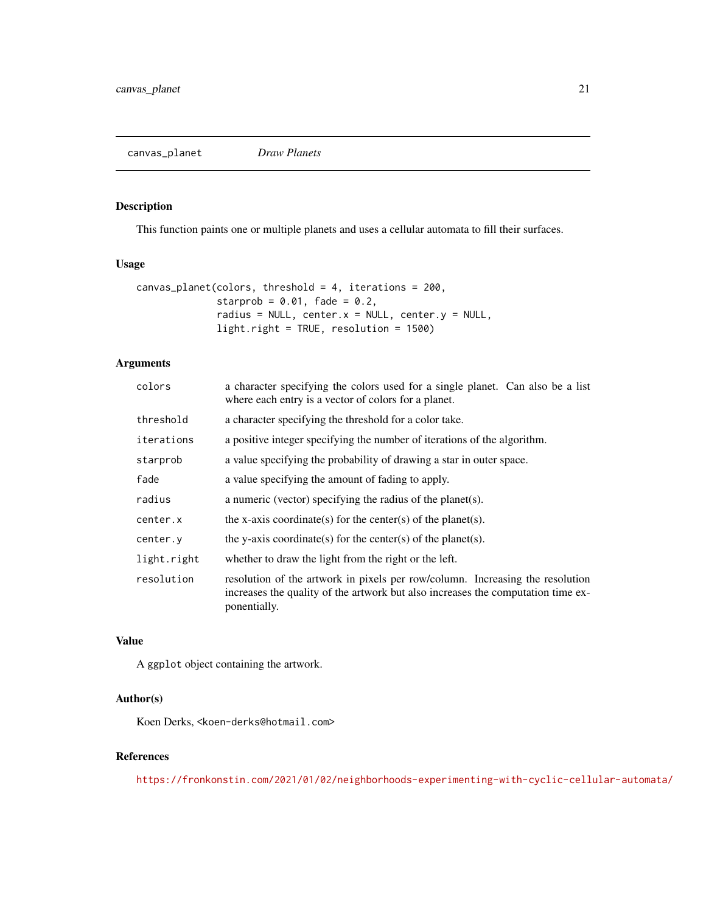<span id="page-20-0"></span>canvas\_planet *Draw Planets*

#### Description

This function paints one or multiple planets and uses a cellular automata to fill their surfaces.

#### Usage

```
canvas_planet(colors, threshold = 4, iterations = 200,
              starprob = 0.01, fade = 0.2,
              radius = NULL, center.x = NULL, center.y = NULL,
              light.right = TRUE, resolution = 1500)
```
# Arguments

| colors      | a character specifying the colors used for a single planet. Can also be a list<br>where each entry is a vector of colors for a planet.                                            |  |
|-------------|-----------------------------------------------------------------------------------------------------------------------------------------------------------------------------------|--|
| threshold   | a character specifying the threshold for a color take.                                                                                                                            |  |
| iterations  | a positive integer specifying the number of iterations of the algorithm.                                                                                                          |  |
| starprob    | a value specifying the probability of drawing a star in outer space.                                                                                                              |  |
| fade        | a value specifying the amount of fading to apply.                                                                                                                                 |  |
| radius      | a numeric (vector) specifying the radius of the planet(s).                                                                                                                        |  |
| center.x    | the x-axis coordinate(s) for the center(s) of the planet(s).                                                                                                                      |  |
| center.y    | the y-axis coordinate(s) for the center(s) of the planet(s).                                                                                                                      |  |
| light.right | whether to draw the light from the right or the left.                                                                                                                             |  |
| resolution  | resolution of the artwork in pixels per row/column. Increasing the resolution<br>increases the quality of the artwork but also increases the computation time ex-<br>ponentially. |  |

#### Value

A ggplot object containing the artwork.

#### Author(s)

Koen Derks, <koen-derks@hotmail.com>

#### References

<https://fronkonstin.com/2021/01/02/neighborhoods-experimenting-with-cyclic-cellular-automata/>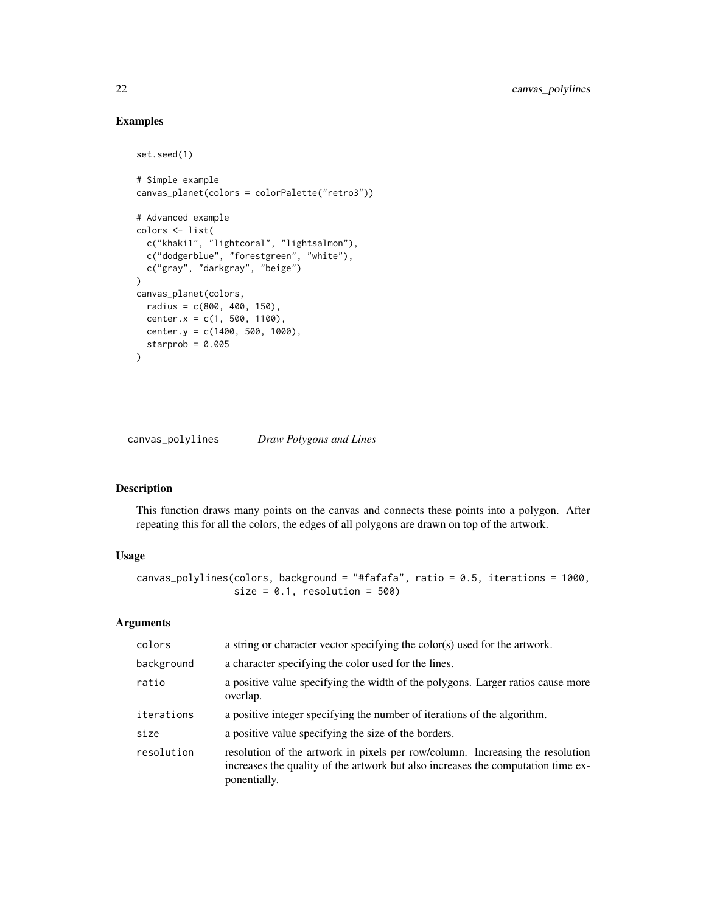# Examples

```
set.seed(1)
# Simple example
canvas_planet(colors = colorPalette("retro3"))
# Advanced example
colors <- list(
  c("khaki1", "lightcoral", "lightsalmon"),
  c("dodgerblue", "forestgreen", "white"),
  c("gray", "darkgray", "beige")
\lambdacanvas_planet(colors,
 radius = c(800, 400, 150),
 center.x = c(1, 500, 1100),
 center.y = c(1400, 500, 1000),
  starprob = 0.005\mathcal{L}
```
canvas\_polylines *Draw Polygons and Lines*

# Description

This function draws many points on the canvas and connects these points into a polygon. After repeating this for all the colors, the edges of all polygons are drawn on top of the artwork.

#### Usage

```
canvas_polylines(colors, background = "#fafafa", ratio = 0.5, iterations = 1000,
                 size = 0.1, resolution = 500)
```
#### Arguments

| colors     | a string or character vector specifying the color(s) used for the artwork.                                                                                                        |  |
|------------|-----------------------------------------------------------------------------------------------------------------------------------------------------------------------------------|--|
| background | a character specifying the color used for the lines.                                                                                                                              |  |
| ratio      | a positive value specifying the width of the polygons. Larger ratios cause more<br>overlap.                                                                                       |  |
| iterations | a positive integer specifying the number of iterations of the algorithm.                                                                                                          |  |
| size       | a positive value specifying the size of the borders.                                                                                                                              |  |
| resolution | resolution of the artwork in pixels per row/column. Increasing the resolution<br>increases the quality of the artwork but also increases the computation time ex-<br>ponentially. |  |

<span id="page-21-0"></span>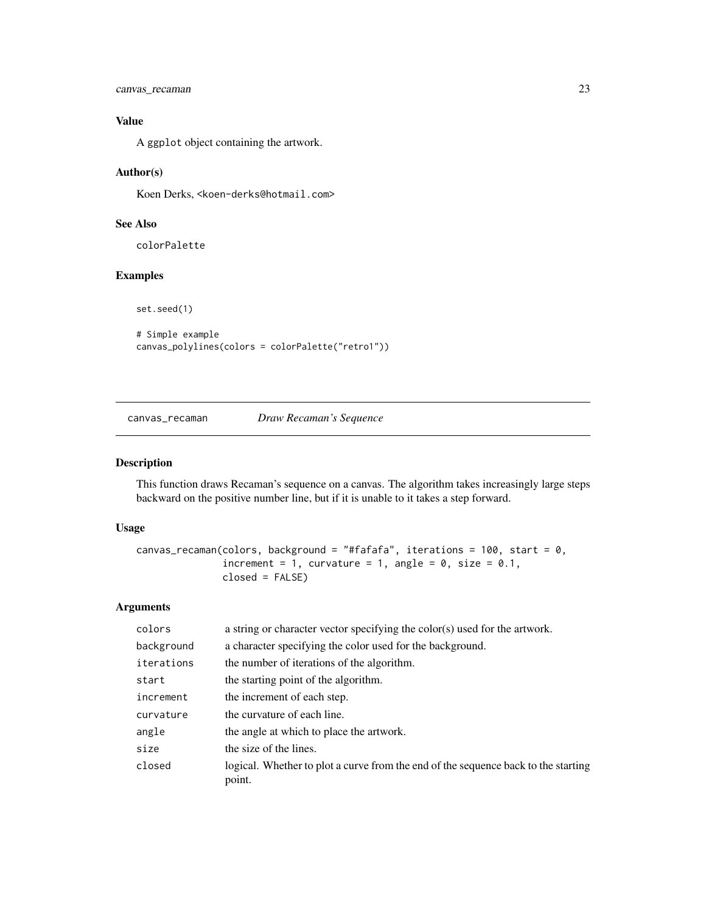```
canvas_recaman 23
```
# Value

A ggplot object containing the artwork.

#### Author(s)

Koen Derks, <koen-derks@hotmail.com>

# See Also

colorPalette

# Examples

set.seed(1)

```
# Simple example
canvas_polylines(colors = colorPalette("retro1"))
```
# canvas\_recaman *Draw Recaman's Sequence*

# Description

This function draws Recaman's sequence on a canvas. The algorithm takes increasingly large steps backward on the positive number line, but if it is unable to it takes a step forward.

#### Usage

```
canvas_recaman(colors, background = "#fafafa", iterations = 100, start = 0,
               increment = 1, curvature = 1, angle = 0, size = 0.1,
               closed = FALSE)
```
# Arguments

| colors     | a string or character vector specifying the color(s) used for the artwork.                   |
|------------|----------------------------------------------------------------------------------------------|
| background | a character specifying the color used for the background.                                    |
| iterations | the number of iterations of the algorithm.                                                   |
| start      | the starting point of the algorithm.                                                         |
| increment  | the increment of each step.                                                                  |
| curvature  | the curvature of each line.                                                                  |
| angle      | the angle at which to place the artwork.                                                     |
| size       | the size of the lines.                                                                       |
| closed     | logical. Whether to plot a curve from the end of the sequence back to the starting<br>point. |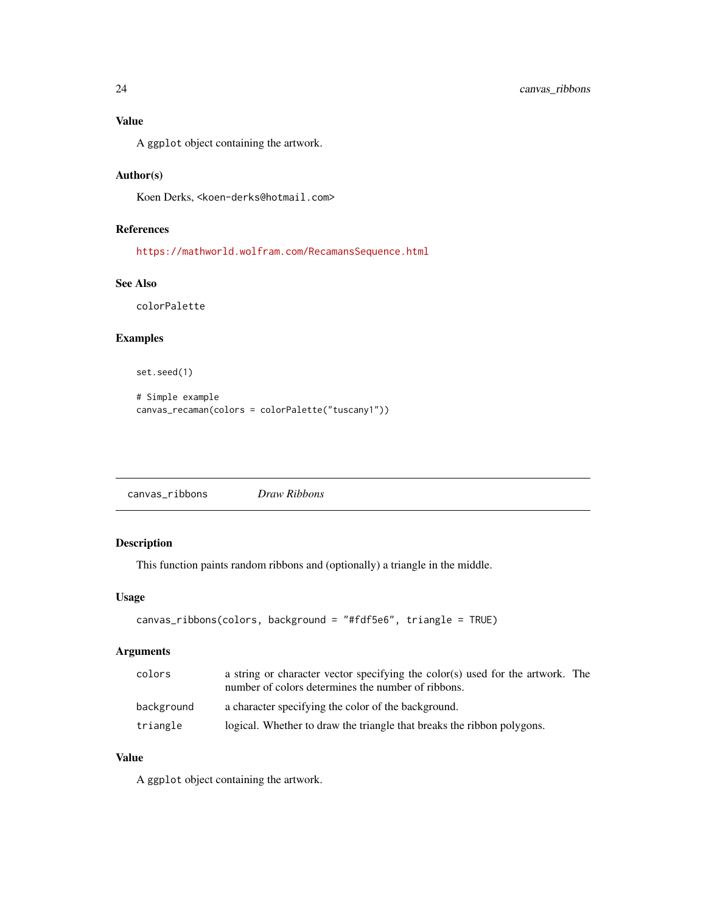#### <span id="page-23-0"></span>Value

A ggplot object containing the artwork.

# Author(s)

Koen Derks, <koen-derks@hotmail.com>

# References

<https://mathworld.wolfram.com/RecamansSequence.html>

#### See Also

colorPalette

#### Examples

set.seed(1)

```
# Simple example
canvas_recaman(colors = colorPalette("tuscany1"))
```

| canvas_ribbons | Draw Ribbons |  |
|----------------|--------------|--|
|                |              |  |

# Description

This function paints random ribbons and (optionally) a triangle in the middle.

#### Usage

```
canvas_ribbons(colors, background = "#fdf5e6", triangle = TRUE)
```
# Arguments

| colors     | a string or character vector specifying the color(s) used for the artwork. The<br>number of colors determines the number of ribbons. |
|------------|--------------------------------------------------------------------------------------------------------------------------------------|
| background | a character specifying the color of the background.                                                                                  |
| triangle   | logical. Whether to draw the triangle that breaks the ribbon polygons.                                                               |

#### Value

A ggplot object containing the artwork.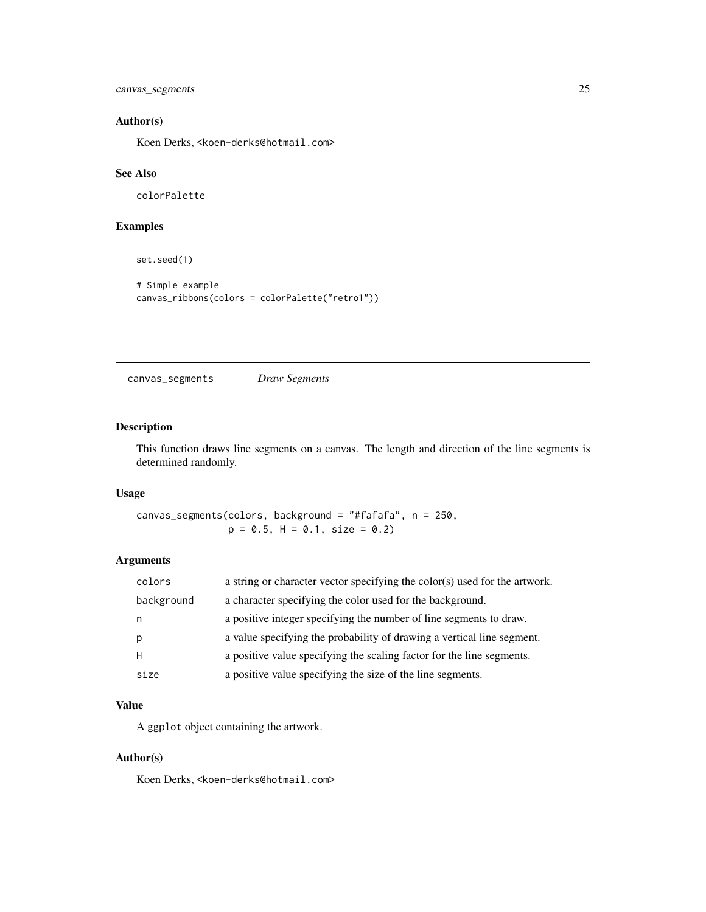<span id="page-24-0"></span>canvas\_segments 25

# Author(s)

Koen Derks, <koen-derks@hotmail.com>

#### See Also

colorPalette

# Examples

set.seed(1)

```
# Simple example
canvas_ribbons(colors = colorPalette("retro1"))
```
canvas\_segments *Draw Segments*

# Description

This function draws line segments on a canvas. The length and direction of the line segments is determined randomly.

# Usage

canvas\_segments(colors, background = "#fafafa", n = 250,  $p = 0.5$ ,  $H = 0.1$ , size = 0.2)

# Arguments

| colors     | a string or character vector specifying the color(s) used for the artwork. |
|------------|----------------------------------------------------------------------------|
| background | a character specifying the color used for the background.                  |
| n          | a positive integer specifying the number of line segments to draw.         |
| p          | a value specifying the probability of drawing a vertical line segment.     |
| H          | a positive value specifying the scaling factor for the line segments.      |
| size       | a positive value specifying the size of the line segments.                 |

#### Value

A ggplot object containing the artwork.

# Author(s)

Koen Derks, <koen-derks@hotmail.com>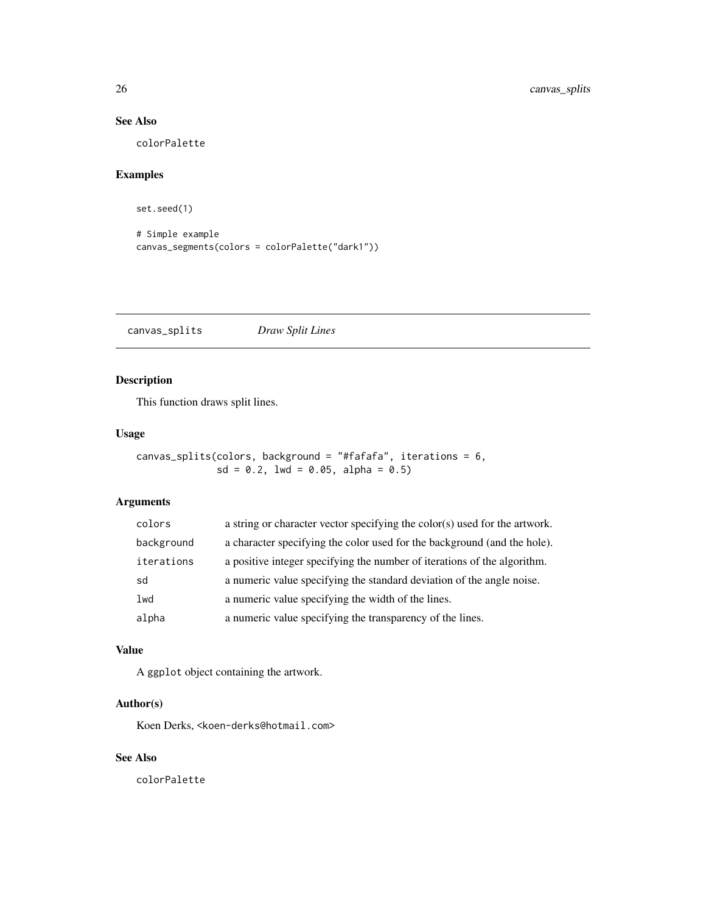# <span id="page-25-0"></span>See Also

colorPalette

# Examples

set.seed(1)

```
# Simple example
canvas_segments(colors = colorPalette("dark1"))
```
canvas\_splits *Draw Split Lines*

# Description

This function draws split lines.

#### Usage

canvas\_splits(colors, background = "#fafafa", iterations = 6,  $sd = 0.2$ ,  $1wd = 0.05$ ,  $alpha = 0.5$ )

#### Arguments

| colors     | a string or character vector specifying the color(s) used for the artwork. |
|------------|----------------------------------------------------------------------------|
| background | a character specifying the color used for the background (and the hole).   |
| iterations | a positive integer specifying the number of iterations of the algorithm.   |
| sd         | a numeric value specifying the standard deviation of the angle noise.      |
| lwd        | a numeric value specifying the width of the lines.                         |
| alpha      | a numeric value specifying the transparency of the lines.                  |

#### Value

A ggplot object containing the artwork.

# Author(s)

Koen Derks, <koen-derks@hotmail.com>

#### See Also

colorPalette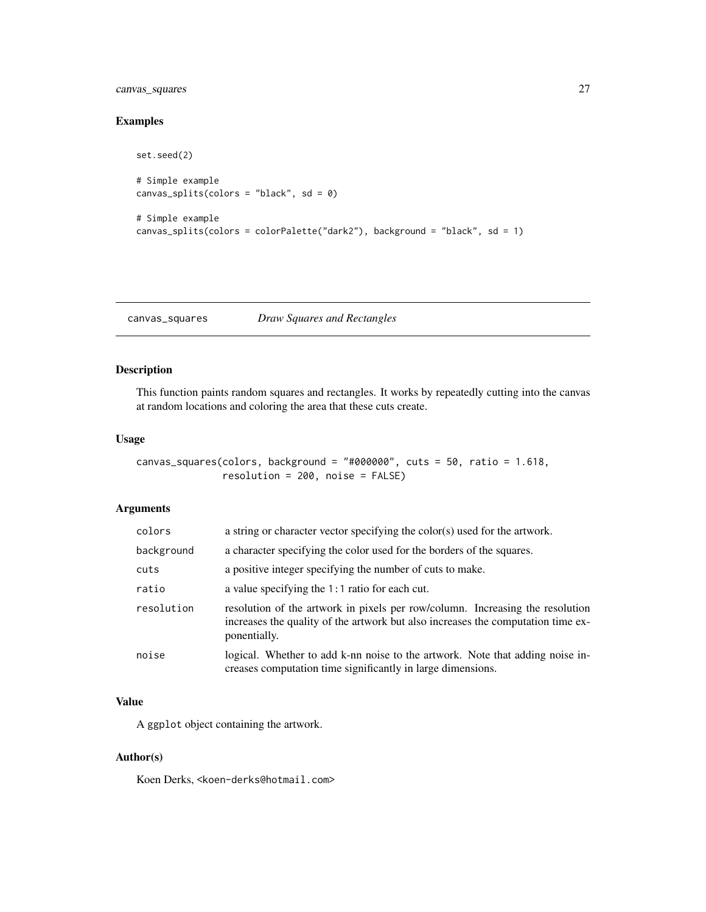# <span id="page-26-0"></span>canvas\_squares 27

set.seed(2)

# Examples

```
# Simple example
canvas_splits(colors = "black", sd = \theta)
# Simple example
canvas_splits(colors = colorPalette("dark2"), background = "black", sd = 1)
```
canvas\_squares *Draw Squares and Rectangles*

#### Description

This function paints random squares and rectangles. It works by repeatedly cutting into the canvas at random locations and coloring the area that these cuts create.

#### Usage

canvas\_squares(colors, background = "#000000", cuts = 50, ratio = 1.618, resolution = 200, noise = FALSE)

#### Arguments

| colors     | a string or character vector specifying the color(s) used for the artwork.                                                                                                        |
|------------|-----------------------------------------------------------------------------------------------------------------------------------------------------------------------------------|
| background | a character specifying the color used for the borders of the squares.                                                                                                             |
| cuts       | a positive integer specifying the number of cuts to make.                                                                                                                         |
| ratio      | a value specifying the $1:1$ ratio for each cut.                                                                                                                                  |
| resolution | resolution of the artwork in pixels per row/column. Increasing the resolution<br>increases the quality of the artwork but also increases the computation time ex-<br>ponentially. |
| noise      | logical. Whether to add k-nn noise to the artwork. Note that adding noise in-<br>creases computation time significantly in large dimensions.                                      |

#### Value

A ggplot object containing the artwork.

#### Author(s)

Koen Derks, <koen-derks@hotmail.com>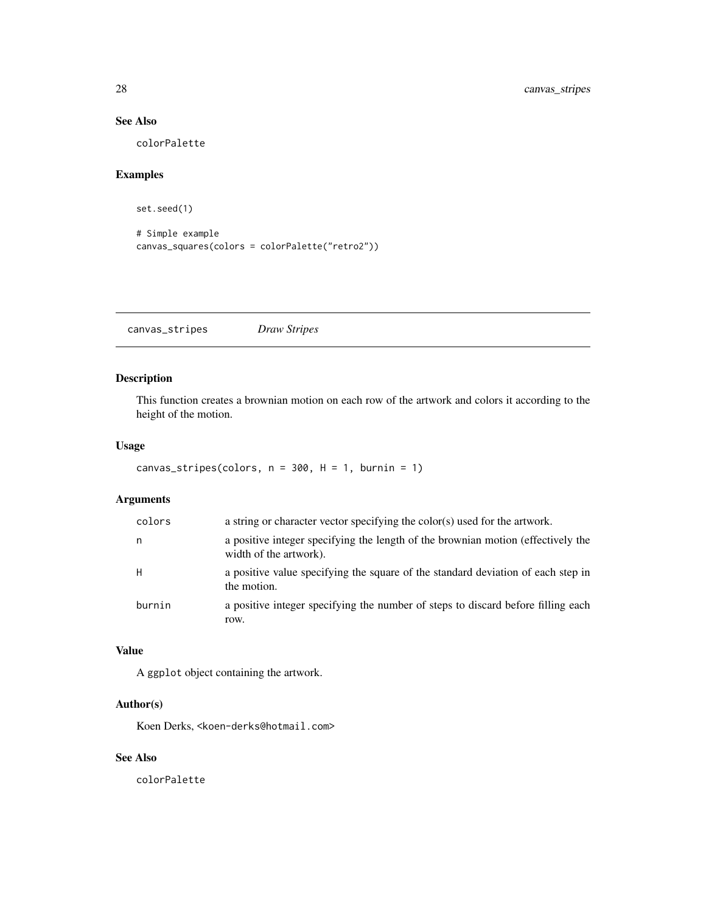# See Also

colorPalette

# Examples

set.seed(1)

```
# Simple example
canvas_squares(colors = colorPalette("retro2"))
```
canvas\_stripes *Draw Stripes*

# Description

This function creates a brownian motion on each row of the artwork and colors it according to the height of the motion.

#### Usage

```
canvas_stripes(colors, n = 300, H = 1, burnin = 1)
```
# Arguments

| colors | a string or character vector specifying the color(s) used for the artwork.                                 |
|--------|------------------------------------------------------------------------------------------------------------|
| n      | a positive integer specifying the length of the brownian motion (effectively the<br>width of the artwork). |
| H      | a positive value specifying the square of the standard deviation of each step in<br>the motion.            |
| burnin | a positive integer specifying the number of steps to discard before filling each<br>row.                   |

#### Value

A ggplot object containing the artwork.

# Author(s)

Koen Derks, <koen-derks@hotmail.com>

#### See Also

colorPalette

<span id="page-27-0"></span>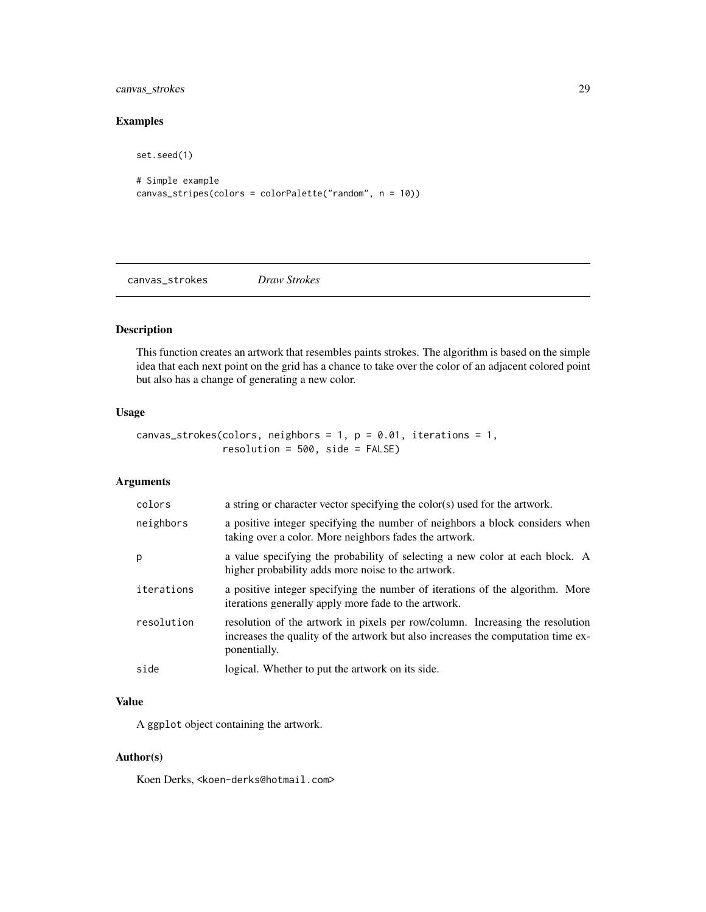<span id="page-28-0"></span>canvas\_strokes 29

# Examples

```
set.seed(1)
# Simple example
canvas_stripes(colors = colorPalette("random", n = 10))
```
canvas\_strokes *Draw Strokes*

# Description

This function creates an artwork that resembles paints strokes. The algorithm is based on the simple idea that each next point on the grid has a chance to take over the color of an adjacent colored point but also has a change of generating a new color.

# Usage

```
canvas_strokes(colors, neighbors = 1, p = 0.01, iterations = 1,
               resolution = 500, side = FALSE)
```
# Arguments

| colors     | a string or character vector specifying the color(s) used for the artwork.                                                                                                        |
|------------|-----------------------------------------------------------------------------------------------------------------------------------------------------------------------------------|
| neighbors  | a positive integer specifying the number of neighbors a block considers when<br>taking over a color. More neighbors fades the artwork.                                            |
| р          | a value specifying the probability of selecting a new color at each block. A<br>higher probability adds more noise to the artwork.                                                |
| iterations | a positive integer specifying the number of iterations of the algorithm. More<br>iterations generally apply more fade to the artwork.                                             |
| resolution | resolution of the artwork in pixels per row/column. Increasing the resolution<br>increases the quality of the artwork but also increases the computation time ex-<br>ponentially. |
| side       | logical. Whether to put the artwork on its side.                                                                                                                                  |

#### Value

A ggplot object containing the artwork.

#### Author(s)

Koen Derks, <koen-derks@hotmail.com>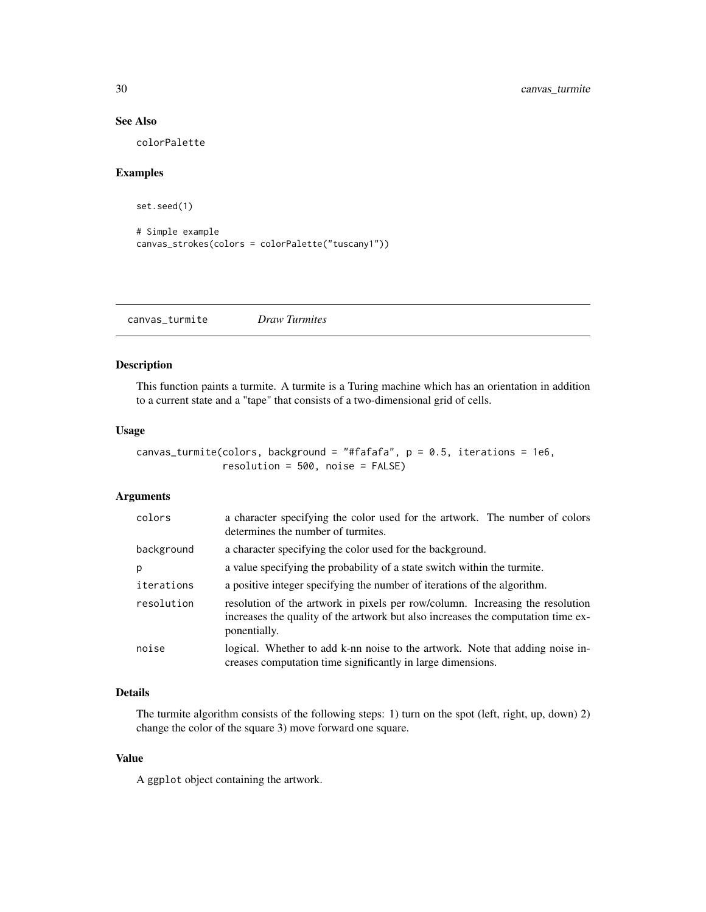# See Also

colorPalette

#### Examples

```
set.seed(1)
```

```
# Simple example
canvas_strokes(colors = colorPalette("tuscany1"))
```
canvas\_turmite *Draw Turmites*

#### Description

This function paints a turmite. A turmite is a Turing machine which has an orientation in addition to a current state and a "tape" that consists of a two-dimensional grid of cells.

#### Usage

```
canvas_turmite(colors, background = "#fafafa", p = 0.5, iterations = 1e6,
               resolution = 500, noise = FALSE)
```
#### Arguments

| colors     | a character specifying the color used for the artwork. The number of colors<br>determines the number of turmites.                                                                 |
|------------|-----------------------------------------------------------------------------------------------------------------------------------------------------------------------------------|
| background | a character specifying the color used for the background.                                                                                                                         |
| p          | a value specifying the probability of a state switch within the turmite.                                                                                                          |
| iterations | a positive integer specifying the number of iterations of the algorithm.                                                                                                          |
| resolution | resolution of the artwork in pixels per row/column. Increasing the resolution<br>increases the quality of the artwork but also increases the computation time ex-<br>ponentially. |
| noise      | logical. Whether to add k-nn noise to the artwork. Note that adding noise in-<br>creases computation time significantly in large dimensions.                                      |

# Details

The turmite algorithm consists of the following steps: 1) turn on the spot (left, right, up, down) 2) change the color of the square 3) move forward one square.

#### Value

A ggplot object containing the artwork.

<span id="page-29-0"></span>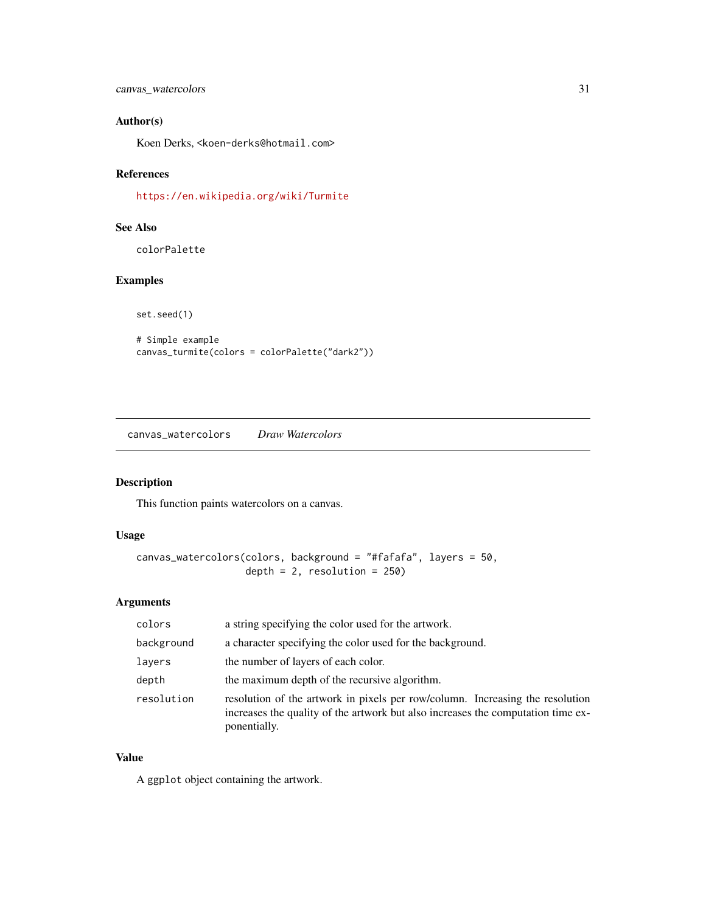<span id="page-30-0"></span>canvas\_watercolors 31

# Author(s)

Koen Derks, <koen-derks@hotmail.com>

#### References

<https://en.wikipedia.org/wiki/Turmite>

# See Also

colorPalette

# Examples

set.seed(1)

# Simple example canvas\_turmite(colors = colorPalette("dark2"))

canvas\_watercolors *Draw Watercolors*

# Description

This function paints watercolors on a canvas.

#### Usage

```
canvas_watercolors(colors, background = "#fafafa", layers = 50,
                   depth = 2, resolution = 250)
```
#### Arguments

| colors     | a string specifying the color used for the artwork.                                                                                                                               |
|------------|-----------------------------------------------------------------------------------------------------------------------------------------------------------------------------------|
| background | a character specifying the color used for the background.                                                                                                                         |
| layers     | the number of layers of each color.                                                                                                                                               |
| depth      | the maximum depth of the recursive algorithm.                                                                                                                                     |
| resolution | resolution of the artwork in pixels per row/column. Increasing the resolution<br>increases the quality of the artwork but also increases the computation time ex-<br>ponentially. |

#### Value

A ggplot object containing the artwork.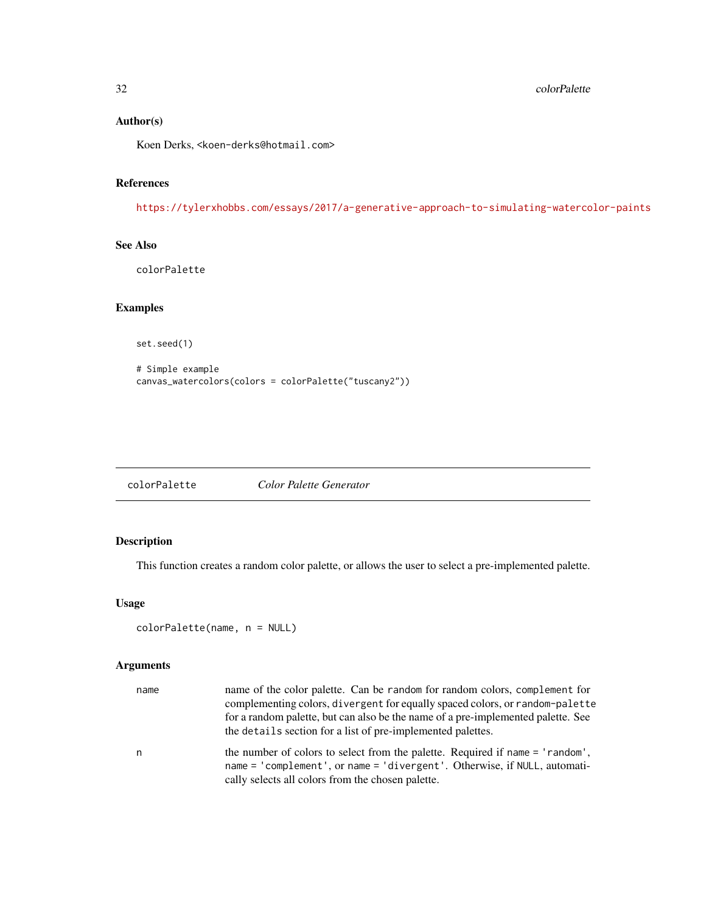# <span id="page-31-0"></span>Author(s)

Koen Derks, <koen-derks@hotmail.com>

#### References

<https://tylerxhobbs.com/essays/2017/a-generative-approach-to-simulating-watercolor-paints>

#### See Also

colorPalette

# Examples

set.seed(1)

```
# Simple example
canvas_watercolors(colors = colorPalette("tuscany2"))
```

| colorPalette | Color Palette Generator |
|--------------|-------------------------|
|              |                         |

# Description

This function creates a random color palette, or allows the user to select a pre-implemented palette.

#### Usage

```
colorPalette(name, n = NULL)
```
#### Arguments

| name | name of the color palette. Can be random for random colors, complement for<br>complementing colors, divergent for equally spaced colors, or random-palette<br>for a random palette, but can also be the name of a pre-implemented palette. See<br>the details section for a list of pre-implemented palettes. |
|------|---------------------------------------------------------------------------------------------------------------------------------------------------------------------------------------------------------------------------------------------------------------------------------------------------------------|
| n    | the number of colors to select from the palette. Required if name = 'random',<br>name = 'complement', or name = 'divergent'. Otherwise, if NULL, automati-<br>cally selects all colors from the chosen palette.                                                                                               |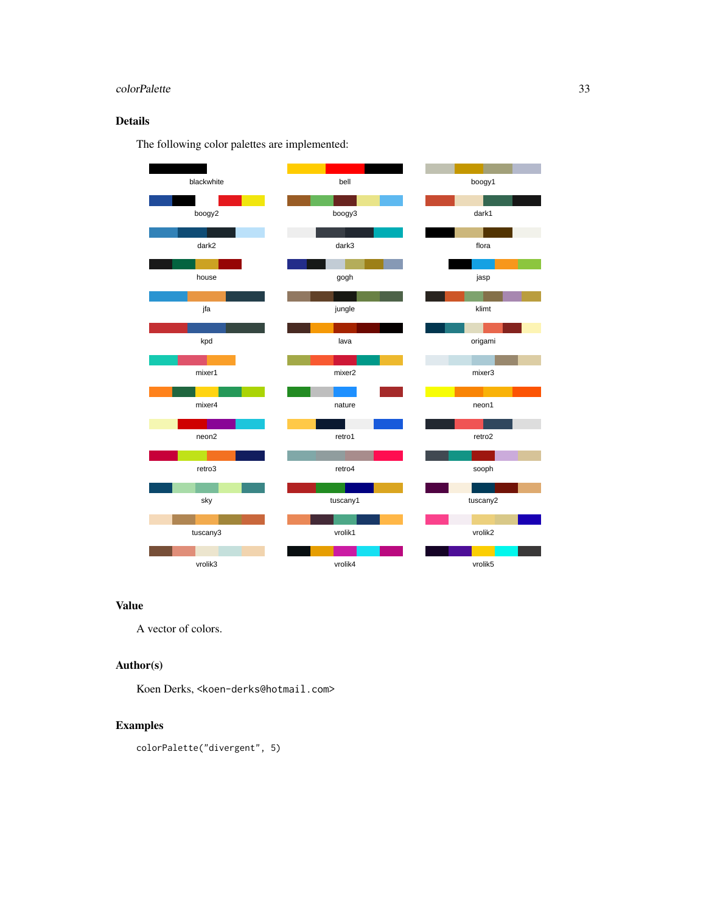# colorPalette 33

# Details

The following color palettes are implemented:



# Value

A vector of colors.

# Author(s)

Koen Derks, <koen-derks@hotmail.com>

# Examples

colorPalette("divergent", 5)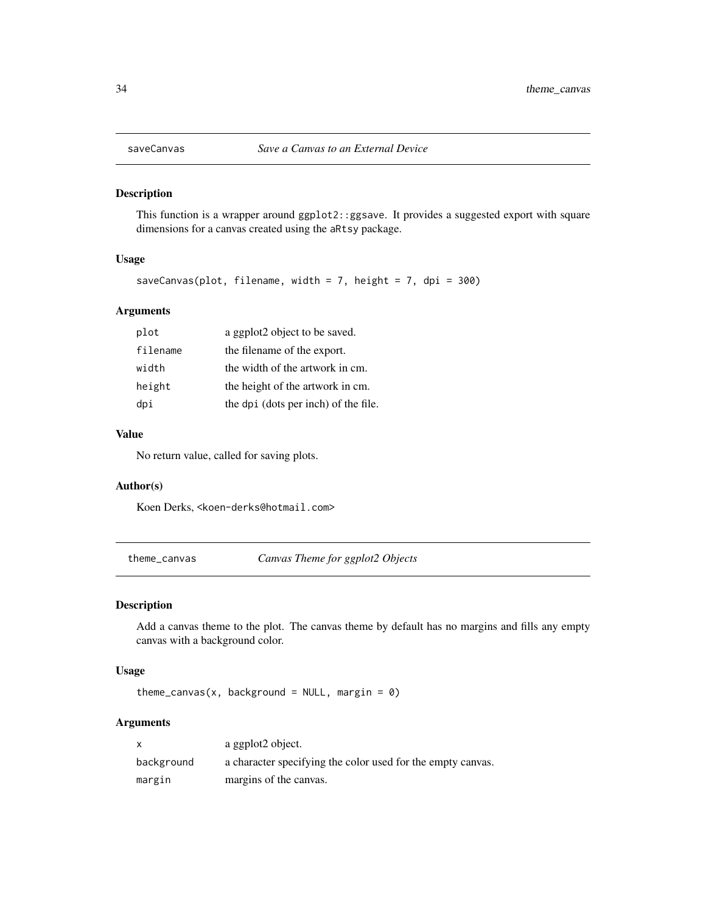<span id="page-33-0"></span>

#### Description

This function is a wrapper around ggplot2::ggsave. It provides a suggested export with square dimensions for a canvas created using the aRtsy package.

#### Usage

```
saveCanvas(plot, filename, width = 7, height = 7, dpi = 300)
```
# Arguments

| plot     | a ggplot2 object to be saved.        |
|----------|--------------------------------------|
| filename | the filename of the export.          |
| width    | the width of the artwork in cm.      |
| height   | the height of the artwork in cm.     |
| dpi      | the dpi (dots per inch) of the file. |

#### Value

No return value, called for saving plots.

#### Author(s)

Koen Derks, <koen-derks@hotmail.com>

theme\_canvas *Canvas Theme for ggplot2 Objects*

#### Description

Add a canvas theme to the plot. The canvas theme by default has no margins and fills any empty canvas with a background color.

#### Usage

theme\_canvas(x, background = NULL, margin =  $\theta$ )

#### Arguments

| X          | a ggplot2 object.                                           |
|------------|-------------------------------------------------------------|
| background | a character specifying the color used for the empty canvas. |
| margin     | margins of the canvas.                                      |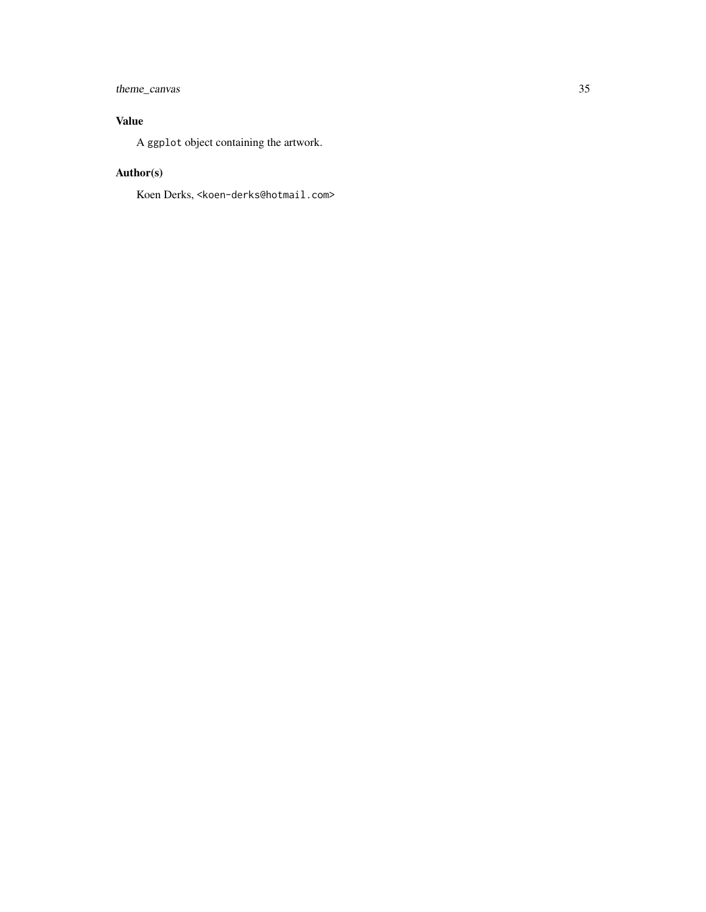# theme\_canvas 35

# Value

A ggplot object containing the artwork.

# Author(s)

Koen Derks, <koen-derks@hotmail.com>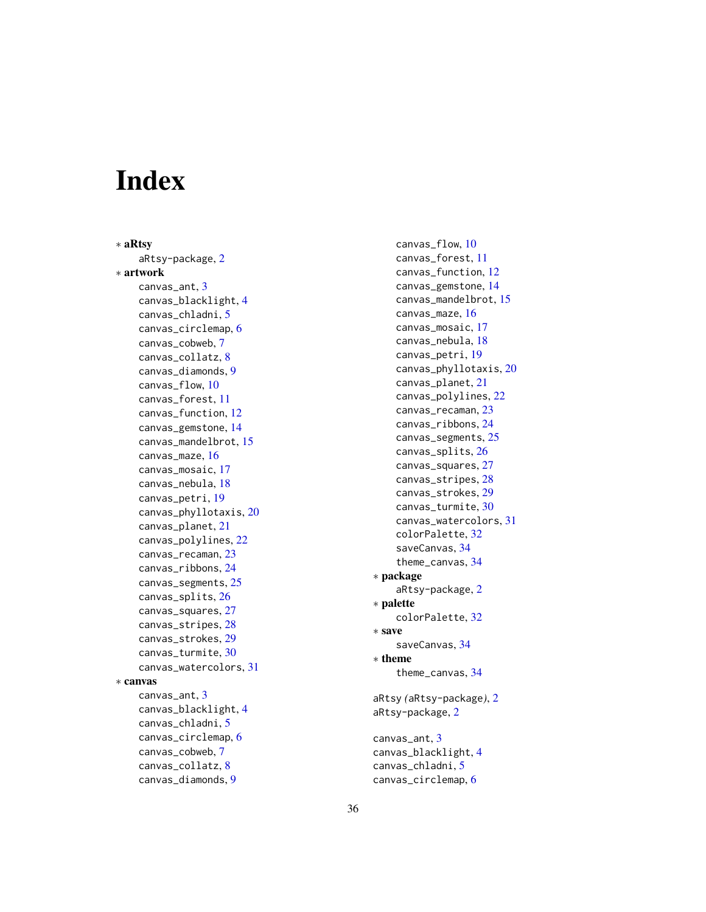# <span id="page-35-0"></span>Index

∗ aRtsy aRtsy-package , [2](#page-1-0) ∗ artwork canvas\_ant , [3](#page-2-0) canvas\_blacklight , [4](#page-3-0) canvas\_chladni , [5](#page-4-0) canvas\_circlemap , [6](#page-5-0) canvas\_cobweb , [7](#page-6-0) canvas\_collatz , [8](#page-7-0) canvas\_diamonds , [9](#page-8-0) canvas\_flow, [10](#page-9-0) canvas\_forest , [11](#page-10-0) canvas\_function , [12](#page-11-0) canvas\_gemstone , [14](#page-13-0) canvas\_mandelbrot , [15](#page-14-0) canvas\_maze , [16](#page-15-0) canvas\_mosaic , [17](#page-16-0) canvas\_nebula , [18](#page-17-0) canvas\_petri , [19](#page-18-0) canvas\_phyllotaxis , [20](#page-19-0) canvas\_planet , [21](#page-20-0) canvas\_polylines , [22](#page-21-0) canvas\_recaman , [23](#page-22-0) canvas\_ribbons , [24](#page-23-0) canvas\_segments , [25](#page-24-0) canvas\_splits , [26](#page-25-0) canvas\_squares , [27](#page-26-0) canvas\_stripes , [28](#page-27-0) canvas\_strokes , [29](#page-28-0) canvas\_turmite , [30](#page-29-0) canvas\_watercolors , [31](#page-30-0) ∗ canvas canvas\_ant , [3](#page-2-0) canvas\_blacklight , [4](#page-3-0) canvas\_chladni , [5](#page-4-0) canvas\_circlemap , [6](#page-5-0) canvas\_cobweb , [7](#page-6-0) canvas\_collatz , [8](#page-7-0) canvas\_diamonds , [9](#page-8-0)

canvas\_flow , [10](#page-9-0) canvas\_forest , [11](#page-10-0) canvas\_function , [12](#page-11-0) canvas\_gemstone , [14](#page-13-0) canvas\_mandelbrot , [15](#page-14-0) canvas\_maze , [16](#page-15-0) canvas\_mosaic , [17](#page-16-0) canvas\_nebula , [18](#page-17-0) canvas\_petri , [19](#page-18-0) canvas\_phyllotaxis , [20](#page-19-0) canvas\_planet , [21](#page-20-0) canvas\_polylines , [22](#page-21-0) canvas\_recaman , [23](#page-22-0) canvas\_ribbons , [24](#page-23-0) canvas\_segments , [25](#page-24-0) canvas\_splits , [26](#page-25-0) canvas\_squares , [27](#page-26-0) canvas\_stripes , [28](#page-27-0) canvas\_strokes , [29](#page-28-0) canvas\_turmite , [30](#page-29-0) canvas\_watercolors , [31](#page-30-0) colorPalette , [32](#page-31-0) saveCanvas , [34](#page-33-0) theme\_canvas , [34](#page-33-0) ∗ package aRtsy-package, [2](#page-1-0) ∗ palette colorPalette , [32](#page-31-0) ∗ save saveCanvas , [34](#page-33-0) ∗ theme theme\_canvas , [34](#page-33-0) aRtsy *(*aRtsy-package *)* , [2](#page-1-0) aRtsy-package , [2](#page-1-0) canvas\_ant , [3](#page-2-0) canvas\_blacklight , [4](#page-3-0) canvas\_chladni , [5](#page-4-0)

canvas\_circlemap , [6](#page-5-0)